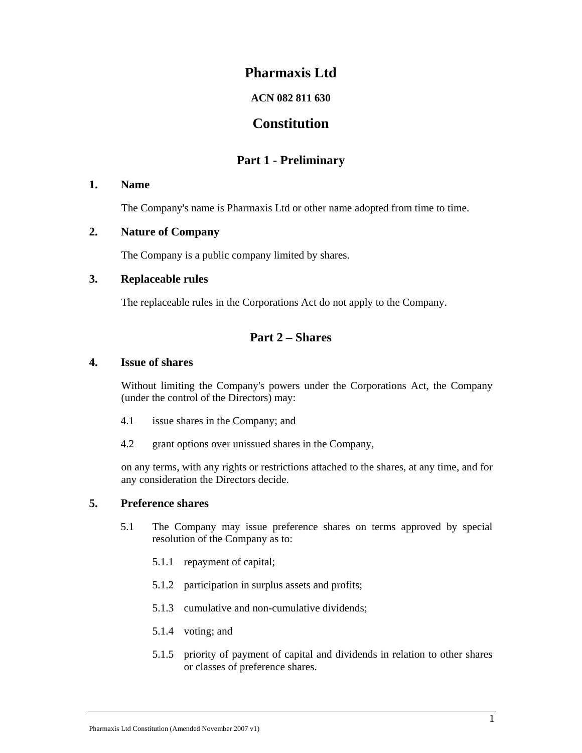# **Pharmaxis Ltd**

## **ACN 082 811 630**

# **Constitution**

# **Part 1 - Preliminary**

## **1. Name**

The Company's name is Pharmaxis Ltd or other name adopted from time to time.

## **2. Nature of Company**

The Company is a public company limited by shares.

## **3. Replaceable rules**

The replaceable rules in the Corporations Act do not apply to the Company.

# **Part 2 – Shares**

## **4. Issue of shares**

Without limiting the Company's powers under the Corporations Act, the Company (under the control of the Directors) may:

- 4.1 issue shares in the Company; and
- 4.2 grant options over unissued shares in the Company,

on any terms, with any rights or restrictions attached to the shares, at any time, and for any consideration the Directors decide.

## **5. Preference shares**

- 5.1 The Company may issue preference shares on terms approved by special resolution of the Company as to:
	- 5.1.1 repayment of capital;
	- 5.1.2 participation in surplus assets and profits;
	- 5.1.3 cumulative and non-cumulative dividends;
	- 5.1.4 voting; and
	- 5.1.5 priority of payment of capital and dividends in relation to other shares or classes of preference shares.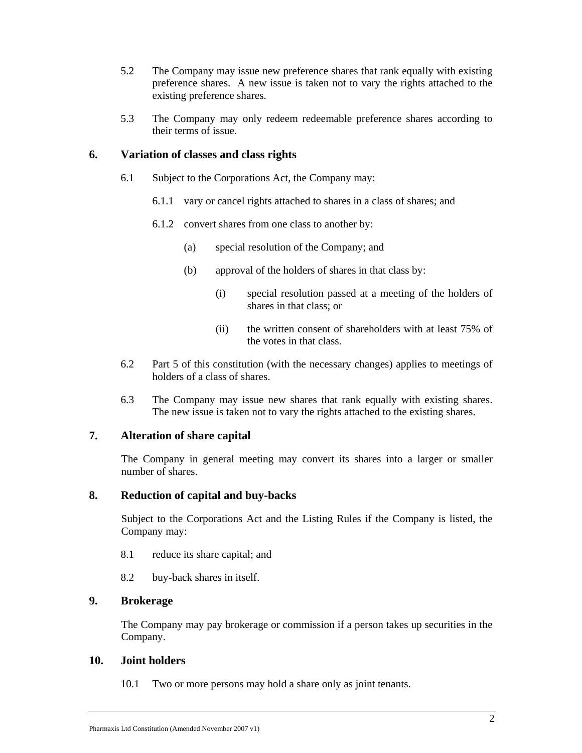- 5.2 The Company may issue new preference shares that rank equally with existing preference shares. A new issue is taken not to vary the rights attached to the existing preference shares.
- 5.3 The Company may only redeem redeemable preference shares according to their terms of issue.

## **6. Variation of classes and class rights**

- 6.1 Subject to the Corporations Act, the Company may:
	- 6.1.1 vary or cancel rights attached to shares in a class of shares; and
	- 6.1.2 convert shares from one class to another by:
		- (a) special resolution of the Company; and
		- (b) approval of the holders of shares in that class by:
			- (i) special resolution passed at a meeting of the holders of shares in that class; or
			- (ii) the written consent of shareholders with at least 75% of the votes in that class.
- 6.2 Part 5 of this constitution (with the necessary changes) applies to meetings of holders of a class of shares.
- 6.3 The Company may issue new shares that rank equally with existing shares. The new issue is taken not to vary the rights attached to the existing shares.

## **7. Alteration of share capital**

The Company in general meeting may convert its shares into a larger or smaller number of shares.

#### **8. Reduction of capital and buy-backs**

Subject to the Corporations Act and the Listing Rules if the Company is listed, the Company may:

- 8.1 reduce its share capital; and
- 8.2 buy-back shares in itself.

#### **9. Brokerage**

The Company may pay brokerage or commission if a person takes up securities in the Company.

#### **10. Joint holders**

10.1 Two or more persons may hold a share only as joint tenants.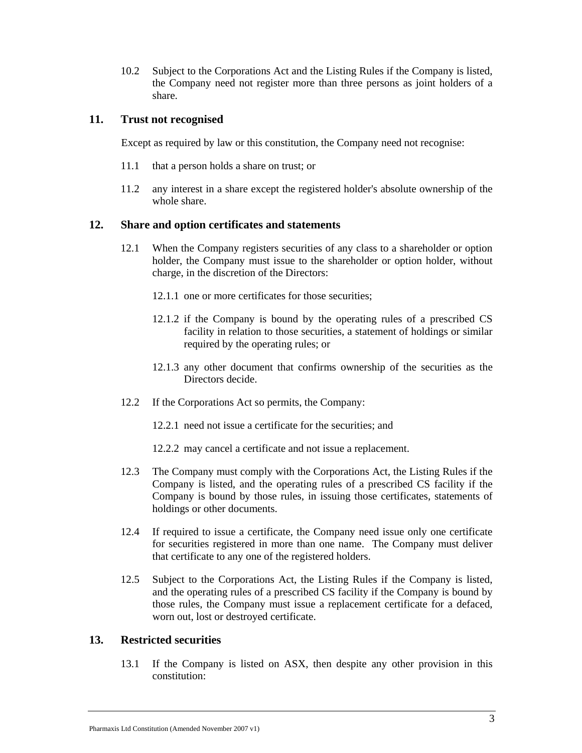10.2 Subject to the Corporations Act and the Listing Rules if the Company is listed, the Company need not register more than three persons as joint holders of a share.

## **11. Trust not recognised**

Except as required by law or this constitution, the Company need not recognise:

- 11.1 that a person holds a share on trust; or
- 11.2 any interest in a share except the registered holder's absolute ownership of the whole share.

## **12. Share and option certificates and statements**

- 12.1 When the Company registers securities of any class to a shareholder or option holder, the Company must issue to the shareholder or option holder, without charge, in the discretion of the Directors:
	- 12.1.1 one or more certificates for those securities;
	- 12.1.2 if the Company is bound by the operating rules of a prescribed CS facility in relation to those securities, a statement of holdings or similar required by the operating rules; or
	- 12.1.3 any other document that confirms ownership of the securities as the Directors decide.
- 12.2 If the Corporations Act so permits, the Company:
	- 12.2.1 need not issue a certificate for the securities; and
	- 12.2.2 may cancel a certificate and not issue a replacement.
- 12.3 The Company must comply with the Corporations Act, the Listing Rules if the Company is listed, and the operating rules of a prescribed CS facility if the Company is bound by those rules, in issuing those certificates, statements of holdings or other documents.
- 12.4 If required to issue a certificate, the Company need issue only one certificate for securities registered in more than one name. The Company must deliver that certificate to any one of the registered holders.
- 12.5 Subject to the Corporations Act, the Listing Rules if the Company is listed, and the operating rules of a prescribed CS facility if the Company is bound by those rules, the Company must issue a replacement certificate for a defaced, worn out, lost or destroyed certificate.

## **13. Restricted securities**

13.1 If the Company is listed on ASX, then despite any other provision in this constitution: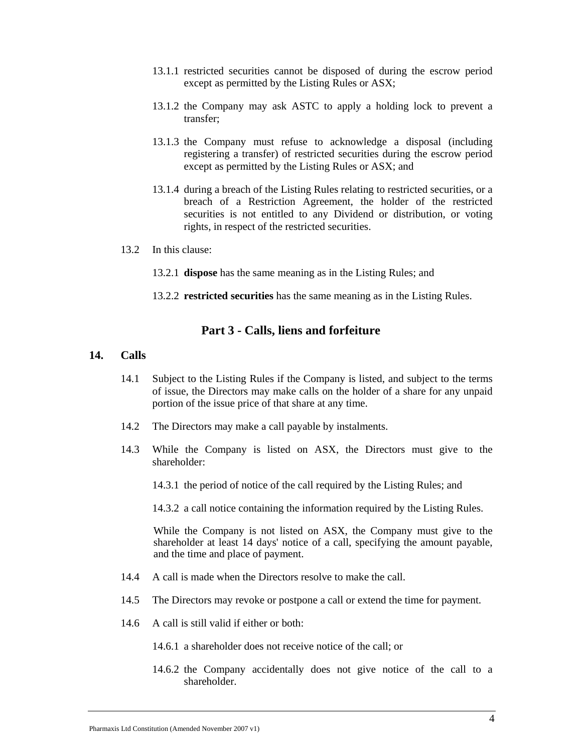- 13.1.1 restricted securities cannot be disposed of during the escrow period except as permitted by the Listing Rules or ASX;
- 13.1.2 the Company may ask ASTC to apply a holding lock to prevent a transfer;
- 13.1.3 the Company must refuse to acknowledge a disposal (including registering a transfer) of restricted securities during the escrow period except as permitted by the Listing Rules or ASX; and
- 13.1.4 during a breach of the Listing Rules relating to restricted securities, or a breach of a Restriction Agreement, the holder of the restricted securities is not entitled to any Dividend or distribution, or voting rights, in respect of the restricted securities.
- 13.2 In this clause:
	- 13.2.1 **dispose** has the same meaning as in the Listing Rules; and
	- 13.2.2 **restricted securities** has the same meaning as in the Listing Rules.

## **Part 3 - Calls, liens and forfeiture**

#### **14. Calls**

- 14.1 Subject to the Listing Rules if the Company is listed, and subject to the terms of issue, the Directors may make calls on the holder of a share for any unpaid portion of the issue price of that share at any time.
- 14.2 The Directors may make a call payable by instalments.
- 14.3 While the Company is listed on ASX, the Directors must give to the shareholder:
	- 14.3.1 the period of notice of the call required by the Listing Rules; and
	- 14.3.2 a call notice containing the information required by the Listing Rules.

While the Company is not listed on ASX, the Company must give to the shareholder at least 14 days' notice of a call, specifying the amount payable, and the time and place of payment.

- 14.4 A call is made when the Directors resolve to make the call.
- 14.5 The Directors may revoke or postpone a call or extend the time for payment.
- 14.6 A call is still valid if either or both:
	- 14.6.1 a shareholder does not receive notice of the call; or
	- 14.6.2 the Company accidentally does not give notice of the call to a shareholder.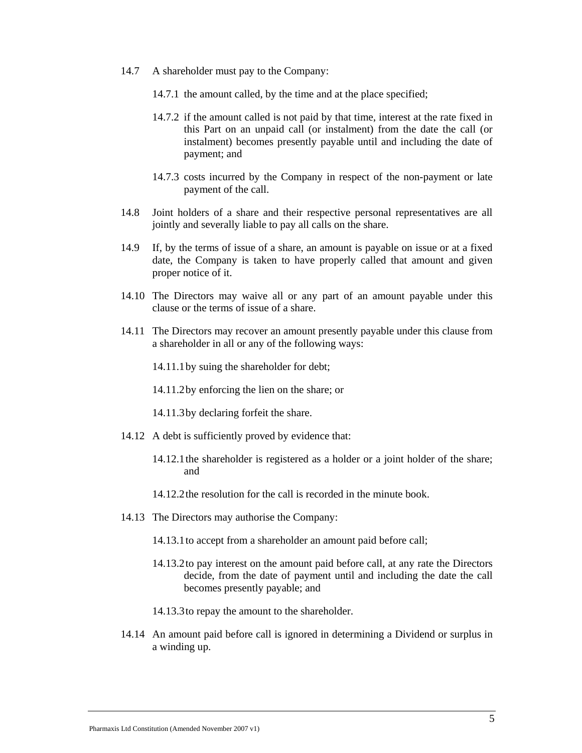- 14.7 A shareholder must pay to the Company:
	- 14.7.1 the amount called, by the time and at the place specified;
	- 14.7.2 if the amount called is not paid by that time, interest at the rate fixed in this Part on an unpaid call (or instalment) from the date the call (or instalment) becomes presently payable until and including the date of payment; and
	- 14.7.3 costs incurred by the Company in respect of the non-payment or late payment of the call.
- 14.8 Joint holders of a share and their respective personal representatives are all jointly and severally liable to pay all calls on the share.
- 14.9 If, by the terms of issue of a share, an amount is payable on issue or at a fixed date, the Company is taken to have properly called that amount and given proper notice of it.
- 14.10 The Directors may waive all or any part of an amount payable under this clause or the terms of issue of a share.
- 14.11 The Directors may recover an amount presently payable under this clause from a shareholder in all or any of the following ways:
	- 14.11.1by suing the shareholder for debt;
	- 14.11.2by enforcing the lien on the share; or
	- 14.11.3by declaring forfeit the share.
- 14.12 A debt is sufficiently proved by evidence that:
	- 14.12.1the shareholder is registered as a holder or a joint holder of the share; and
	- 14.12.2the resolution for the call is recorded in the minute book.
- 14.13 The Directors may authorise the Company:
	- 14.13.1to accept from a shareholder an amount paid before call;
	- 14.13.2to pay interest on the amount paid before call, at any rate the Directors decide, from the date of payment until and including the date the call becomes presently payable; and
	- 14.13.3to repay the amount to the shareholder.
- 14.14 An amount paid before call is ignored in determining a Dividend or surplus in a winding up.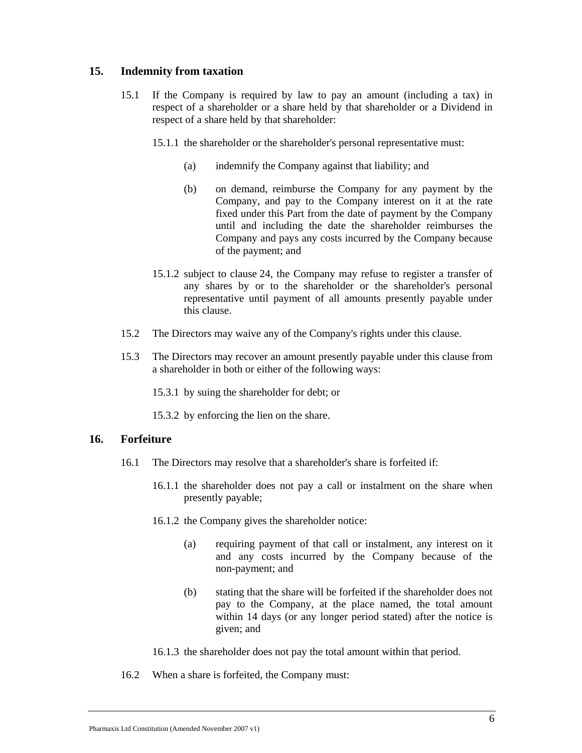## **15. Indemnity from taxation**

- 15.1 If the Company is required by law to pay an amount (including a tax) in respect of a shareholder or a share held by that shareholder or a Dividend in respect of a share held by that shareholder:
	- 15.1.1 the shareholder or the shareholder's personal representative must:
		- (a) indemnify the Company against that liability; and
		- (b) on demand, reimburse the Company for any payment by the Company, and pay to the Company interest on it at the rate fixed under this Part from the date of payment by the Company until and including the date the shareholder reimburses the Company and pays any costs incurred by the Company because of the payment; and
	- 15.1.2 subject to clause 24, the Company may refuse to register a transfer of any shares by or to the shareholder or the shareholder's personal representative until payment of all amounts presently payable under this clause.
- 15.2 The Directors may waive any of the Company's rights under this clause.
- 15.3 The Directors may recover an amount presently payable under this clause from a shareholder in both or either of the following ways:
	- 15.3.1 by suing the shareholder for debt; or
	- 15.3.2 by enforcing the lien on the share.

## **16. Forfeiture**

- 16.1 The Directors may resolve that a shareholder's share is forfeited if:
	- 16.1.1 the shareholder does not pay a call or instalment on the share when presently payable;
	- 16.1.2 the Company gives the shareholder notice:
		- (a) requiring payment of that call or instalment, any interest on it and any costs incurred by the Company because of the non-payment; and
		- (b) stating that the share will be forfeited if the shareholder does not pay to the Company, at the place named, the total amount within 14 days (or any longer period stated) after the notice is given; and
	- 16.1.3 the shareholder does not pay the total amount within that period.
- 16.2 When a share is forfeited, the Company must: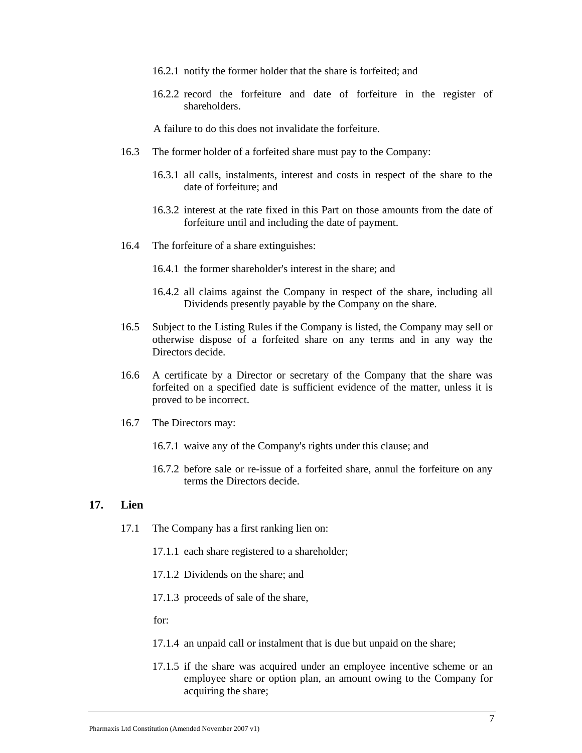- 16.2.1 notify the former holder that the share is forfeited; and
- 16.2.2 record the forfeiture and date of forfeiture in the register of shareholders.

A failure to do this does not invalidate the forfeiture.

- 16.3 The former holder of a forfeited share must pay to the Company:
	- 16.3.1 all calls, instalments, interest and costs in respect of the share to the date of forfeiture; and
	- 16.3.2 interest at the rate fixed in this Part on those amounts from the date of forfeiture until and including the date of payment.
- 16.4 The forfeiture of a share extinguishes:
	- 16.4.1 the former shareholder's interest in the share; and
	- 16.4.2 all claims against the Company in respect of the share, including all Dividends presently payable by the Company on the share.
- 16.5 Subject to the Listing Rules if the Company is listed, the Company may sell or otherwise dispose of a forfeited share on any terms and in any way the Directors decide.
- 16.6 A certificate by a Director or secretary of the Company that the share was forfeited on a specified date is sufficient evidence of the matter, unless it is proved to be incorrect.
- 16.7 The Directors may:
	- 16.7.1 waive any of the Company's rights under this clause; and
	- 16.7.2 before sale or re-issue of a forfeited share, annul the forfeiture on any terms the Directors decide.

#### **17. Lien**

- 17.1 The Company has a first ranking lien on:
	- 17.1.1 each share registered to a shareholder;
	- 17.1.2 Dividends on the share; and
	- 17.1.3 proceeds of sale of the share,

for:

- 17.1.4 an unpaid call or instalment that is due but unpaid on the share;
- 17.1.5 if the share was acquired under an employee incentive scheme or an employee share or option plan, an amount owing to the Company for acquiring the share;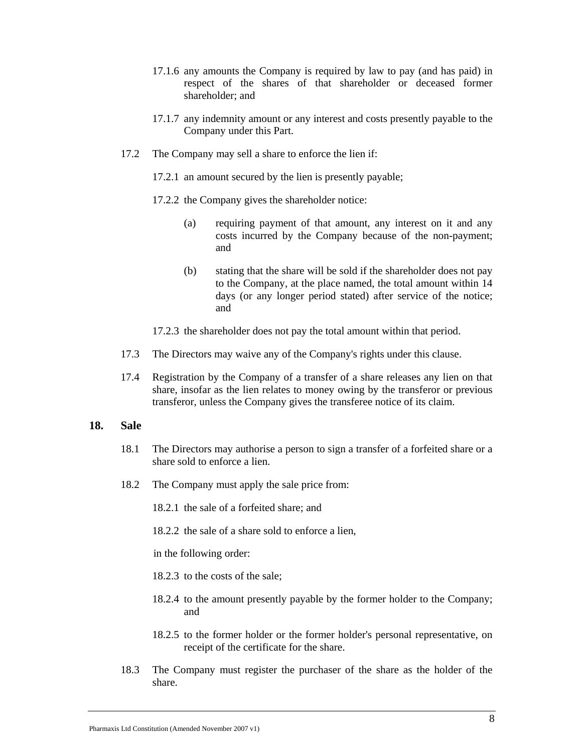- 17.1.6 any amounts the Company is required by law to pay (and has paid) in respect of the shares of that shareholder or deceased former shareholder; and
- 17.1.7 any indemnity amount or any interest and costs presently payable to the Company under this Part.
- 17.2 The Company may sell a share to enforce the lien if:
	- 17.2.1 an amount secured by the lien is presently payable;
	- 17.2.2 the Company gives the shareholder notice:
		- (a) requiring payment of that amount, any interest on it and any costs incurred by the Company because of the non-payment; and
		- (b) stating that the share will be sold if the shareholder does not pay to the Company, at the place named, the total amount within 14 days (or any longer period stated) after service of the notice; and
	- 17.2.3 the shareholder does not pay the total amount within that period.
- 17.3 The Directors may waive any of the Company's rights under this clause.
- 17.4 Registration by the Company of a transfer of a share releases any lien on that share, insofar as the lien relates to money owing by the transferor or previous transferor, unless the Company gives the transferee notice of its claim.

#### **18. Sale**

- 18.1 The Directors may authorise a person to sign a transfer of a forfeited share or a share sold to enforce a lien.
- 18.2 The Company must apply the sale price from:
	- 18.2.1 the sale of a forfeited share; and
	- 18.2.2 the sale of a share sold to enforce a lien,

in the following order:

- 18.2.3 to the costs of the sale;
- 18.2.4 to the amount presently payable by the former holder to the Company; and
- 18.2.5 to the former holder or the former holder's personal representative, on receipt of the certificate for the share.
- 18.3 The Company must register the purchaser of the share as the holder of the share.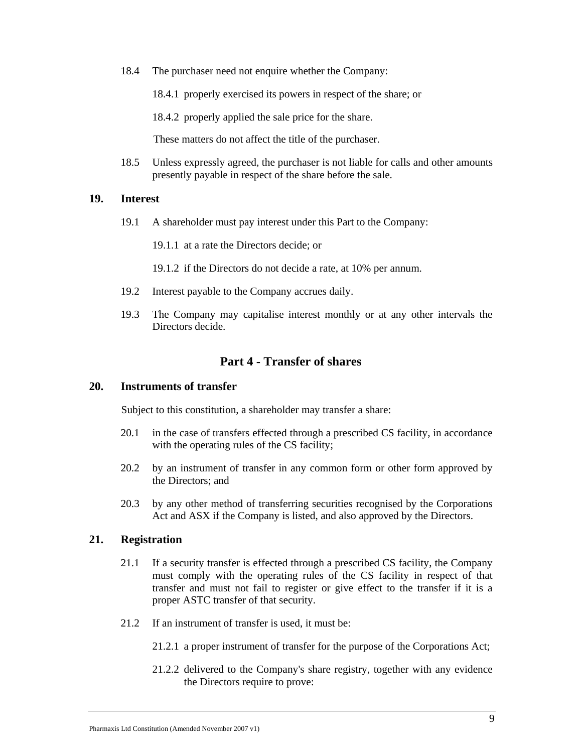18.4 The purchaser need not enquire whether the Company:

18.4.1 properly exercised its powers in respect of the share; or

18.4.2 properly applied the sale price for the share.

These matters do not affect the title of the purchaser.

18.5 Unless expressly agreed, the purchaser is not liable for calls and other amounts presently payable in respect of the share before the sale.

#### **19. Interest**

19.1 A shareholder must pay interest under this Part to the Company:

19.1.1 at a rate the Directors decide; or

- 19.1.2 if the Directors do not decide a rate, at 10% per annum.
- 19.2 Interest payable to the Company accrues daily.
- 19.3 The Company may capitalise interest monthly or at any other intervals the Directors decide.

## **Part 4 - Transfer of shares**

#### **20. Instruments of transfer**

Subject to this constitution, a shareholder may transfer a share:

- 20.1 in the case of transfers effected through a prescribed CS facility, in accordance with the operating rules of the CS facility;
- 20.2 by an instrument of transfer in any common form or other form approved by the Directors; and
- 20.3 by any other method of transferring securities recognised by the Corporations Act and ASX if the Company is listed, and also approved by the Directors.

## **21. Registration**

- 21.1 If a security transfer is effected through a prescribed CS facility, the Company must comply with the operating rules of the CS facility in respect of that transfer and must not fail to register or give effect to the transfer if it is a proper ASTC transfer of that security.
- 21.2 If an instrument of transfer is used, it must be:
	- 21.2.1 a proper instrument of transfer for the purpose of the Corporations Act;
	- 21.2.2 delivered to the Company's share registry, together with any evidence the Directors require to prove: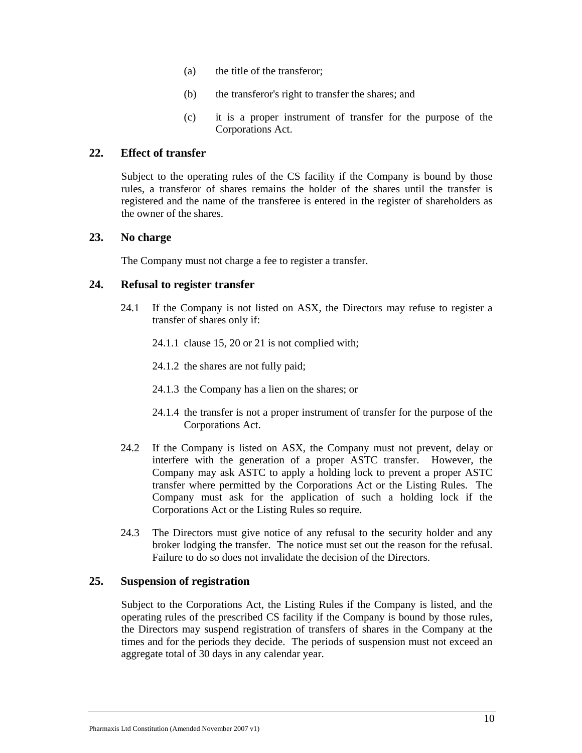- (a) the title of the transferor;
- (b) the transferor's right to transfer the shares; and
- (c) it is a proper instrument of transfer for the purpose of the Corporations Act.

## **22. Effect of transfer**

Subject to the operating rules of the CS facility if the Company is bound by those rules, a transferor of shares remains the holder of the shares until the transfer is registered and the name of the transferee is entered in the register of shareholders as the owner of the shares.

## **23. No charge**

The Company must not charge a fee to register a transfer.

## **24. Refusal to register transfer**

- 24.1 If the Company is not listed on ASX, the Directors may refuse to register a transfer of shares only if:
	- 24.1.1 clause 15, 20 or 21 is not complied with;
	- 24.1.2 the shares are not fully paid;
	- 24.1.3 the Company has a lien on the shares; or
	- 24.1.4 the transfer is not a proper instrument of transfer for the purpose of the Corporations Act.
- 24.2 If the Company is listed on ASX, the Company must not prevent, delay or interfere with the generation of a proper ASTC transfer. However, the Company may ask ASTC to apply a holding lock to prevent a proper ASTC transfer where permitted by the Corporations Act or the Listing Rules. The Company must ask for the application of such a holding lock if the Corporations Act or the Listing Rules so require.
- 24.3 The Directors must give notice of any refusal to the security holder and any broker lodging the transfer. The notice must set out the reason for the refusal. Failure to do so does not invalidate the decision of the Directors.

## **25. Suspension of registration**

Subject to the Corporations Act, the Listing Rules if the Company is listed, and the operating rules of the prescribed CS facility if the Company is bound by those rules, the Directors may suspend registration of transfers of shares in the Company at the times and for the periods they decide. The periods of suspension must not exceed an aggregate total of 30 days in any calendar year.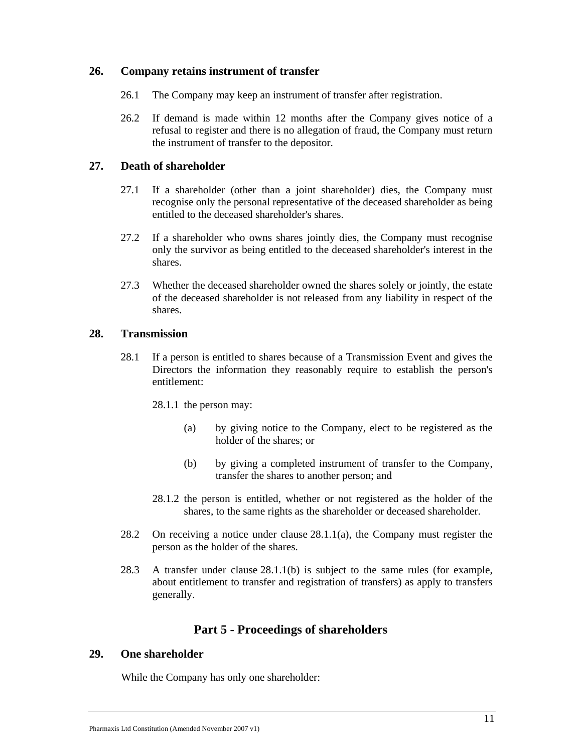## **26. Company retains instrument of transfer**

- 26.1 The Company may keep an instrument of transfer after registration.
- 26.2 If demand is made within 12 months after the Company gives notice of a refusal to register and there is no allegation of fraud, the Company must return the instrument of transfer to the depositor.

## **27. Death of shareholder**

- 27.1 If a shareholder (other than a joint shareholder) dies, the Company must recognise only the personal representative of the deceased shareholder as being entitled to the deceased shareholder's shares.
- 27.2 If a shareholder who owns shares jointly dies, the Company must recognise only the survivor as being entitled to the deceased shareholder's interest in the shares.
- 27.3 Whether the deceased shareholder owned the shares solely or jointly, the estate of the deceased shareholder is not released from any liability in respect of the shares.

#### **28. Transmission**

28.1 If a person is entitled to shares because of a Transmission Event and gives the Directors the information they reasonably require to establish the person's entitlement:

28.1.1 the person may:

- (a) by giving notice to the Company, elect to be registered as the holder of the shares; or
- (b) by giving a completed instrument of transfer to the Company, transfer the shares to another person; and
- 28.1.2 the person is entitled, whether or not registered as the holder of the shares, to the same rights as the shareholder or deceased shareholder.
- 28.2 On receiving a notice under clause 28.1.1(a), the Company must register the person as the holder of the shares.
- 28.3 A transfer under clause 28.1.1(b) is subject to the same rules (for example, about entitlement to transfer and registration of transfers) as apply to transfers generally.

## **Part 5 - Proceedings of shareholders**

#### **29. One shareholder**

While the Company has only one shareholder: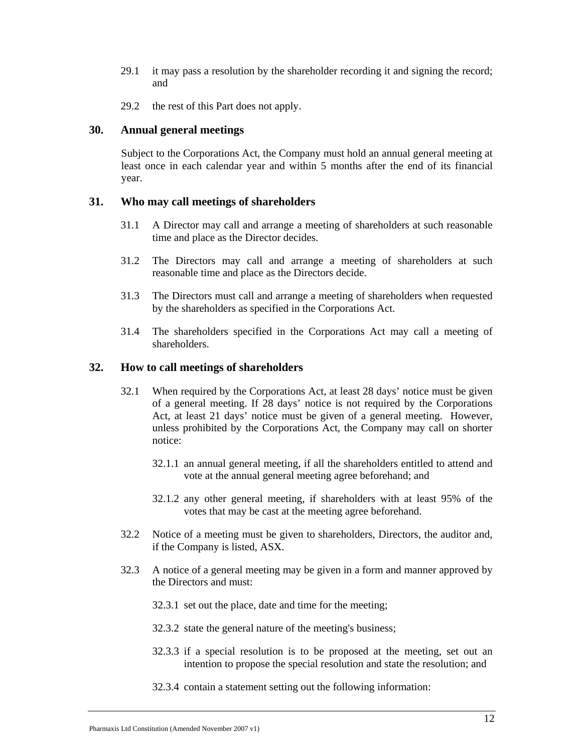- 29.1 it may pass a resolution by the shareholder recording it and signing the record; and
- 29.2 the rest of this Part does not apply.

#### **30. Annual general meetings**

Subject to the Corporations Act, the Company must hold an annual general meeting at least once in each calendar year and within 5 months after the end of its financial year.

#### **31. Who may call meetings of shareholders**

- 31.1 A Director may call and arrange a meeting of shareholders at such reasonable time and place as the Director decides.
- 31.2 The Directors may call and arrange a meeting of shareholders at such reasonable time and place as the Directors decide.
- 31.3 The Directors must call and arrange a meeting of shareholders when requested by the shareholders as specified in the Corporations Act.
- 31.4 The shareholders specified in the Corporations Act may call a meeting of shareholders.

## **32. How to call meetings of shareholders**

- 32.1 When required by the Corporations Act, at least 28 days' notice must be given of a general meeting. If 28 days' notice is not required by the Corporations Act, at least 21 days' notice must be given of a general meeting. However, unless prohibited by the Corporations Act, the Company may call on shorter notice:
	- 32.1.1 an annual general meeting, if all the shareholders entitled to attend and vote at the annual general meeting agree beforehand; and
	- 32.1.2 any other general meeting, if shareholders with at least 95% of the votes that may be cast at the meeting agree beforehand.
- 32.2 Notice of a meeting must be given to shareholders, Directors, the auditor and, if the Company is listed, ASX.
- 32.3 A notice of a general meeting may be given in a form and manner approved by the Directors and must:
	- 32.3.1 set out the place, date and time for the meeting;
	- 32.3.2 state the general nature of the meeting's business;
	- 32.3.3 if a special resolution is to be proposed at the meeting, set out an intention to propose the special resolution and state the resolution; and
	- 32.3.4 contain a statement setting out the following information: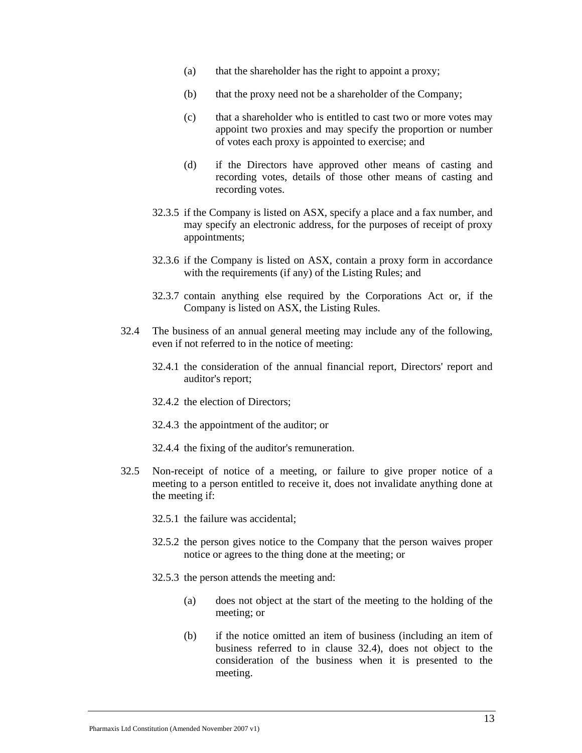- (a) that the shareholder has the right to appoint a proxy;
- (b) that the proxy need not be a shareholder of the Company;
- (c) that a shareholder who is entitled to cast two or more votes may appoint two proxies and may specify the proportion or number of votes each proxy is appointed to exercise; and
- (d) if the Directors have approved other means of casting and recording votes, details of those other means of casting and recording votes.
- 32.3.5 if the Company is listed on ASX, specify a place and a fax number, and may specify an electronic address, for the purposes of receipt of proxy appointments;
- 32.3.6 if the Company is listed on ASX, contain a proxy form in accordance with the requirements (if any) of the Listing Rules; and
- 32.3.7 contain anything else required by the Corporations Act or, if the Company is listed on ASX, the Listing Rules.
- 32.4 The business of an annual general meeting may include any of the following, even if not referred to in the notice of meeting:
	- 32.4.1 the consideration of the annual financial report, Directors' report and auditor's report;
	- 32.4.2 the election of Directors;
	- 32.4.3 the appointment of the auditor; or
	- 32.4.4 the fixing of the auditor's remuneration.
- 32.5 Non-receipt of notice of a meeting, or failure to give proper notice of a meeting to a person entitled to receive it, does not invalidate anything done at the meeting if:
	- 32.5.1 the failure was accidental;
	- 32.5.2 the person gives notice to the Company that the person waives proper notice or agrees to the thing done at the meeting; or
	- 32.5.3 the person attends the meeting and:
		- (a) does not object at the start of the meeting to the holding of the meeting; or
		- (b) if the notice omitted an item of business (including an item of business referred to in clause 32.4), does not object to the consideration of the business when it is presented to the meeting.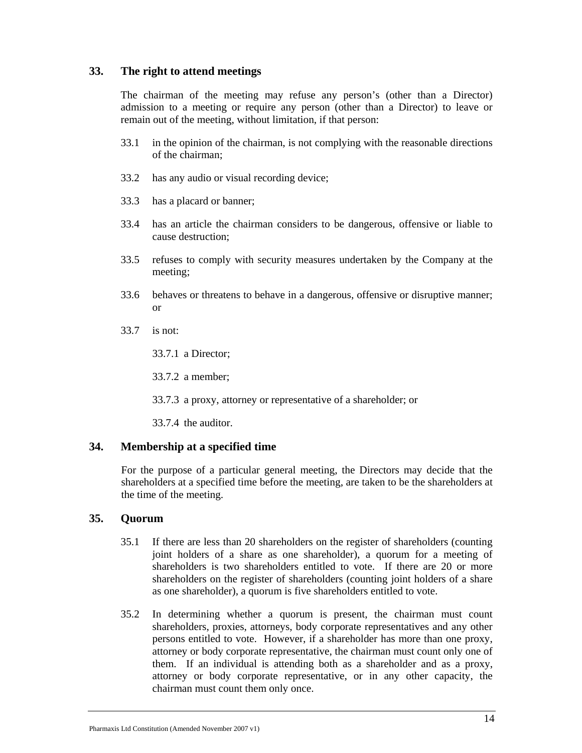## **33. The right to attend meetings**

The chairman of the meeting may refuse any person's (other than a Director) admission to a meeting or require any person (other than a Director) to leave or remain out of the meeting, without limitation, if that person:

- 33.1 in the opinion of the chairman, is not complying with the reasonable directions of the chairman;
- 33.2 has any audio or visual recording device;
- 33.3 has a placard or banner;
- 33.4 has an article the chairman considers to be dangerous, offensive or liable to cause destruction;
- 33.5 refuses to comply with security measures undertaken by the Company at the meeting;
- 33.6 behaves or threatens to behave in a dangerous, offensive or disruptive manner; or
- 33.7 is not:

33.7.1 a Director;

33.7.2 a member;

33.7.3 a proxy, attorney or representative of a shareholder; or

33.7.4 the auditor.

#### **34. Membership at a specified time**

For the purpose of a particular general meeting, the Directors may decide that the shareholders at a specified time before the meeting, are taken to be the shareholders at the time of the meeting.

## **35. Quorum**

- 35.1 If there are less than 20 shareholders on the register of shareholders (counting joint holders of a share as one shareholder), a quorum for a meeting of shareholders is two shareholders entitled to vote. If there are 20 or more shareholders on the register of shareholders (counting joint holders of a share as one shareholder), a quorum is five shareholders entitled to vote.
- 35.2 In determining whether a quorum is present, the chairman must count shareholders, proxies, attorneys, body corporate representatives and any other persons entitled to vote. However, if a shareholder has more than one proxy, attorney or body corporate representative, the chairman must count only one of them. If an individual is attending both as a shareholder and as a proxy, attorney or body corporate representative, or in any other capacity, the chairman must count them only once.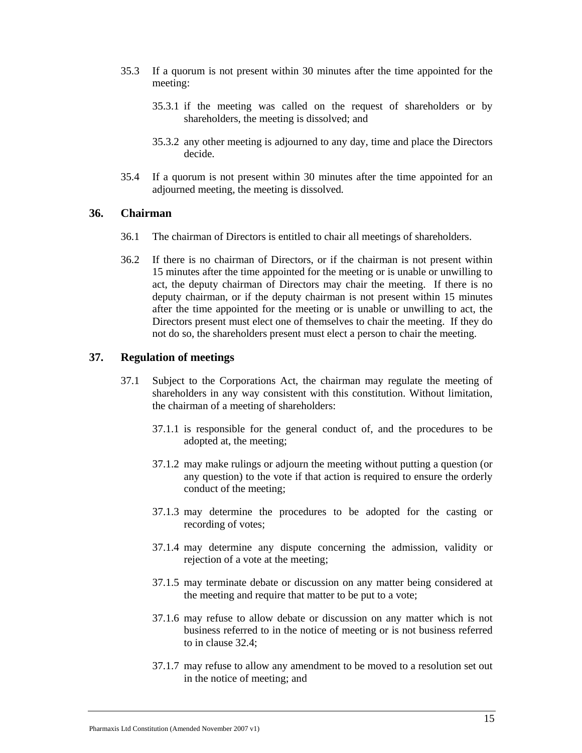- 35.3 If a quorum is not present within 30 minutes after the time appointed for the meeting:
	- 35.3.1 if the meeting was called on the request of shareholders or by shareholders, the meeting is dissolved; and
	- 35.3.2 any other meeting is adjourned to any day, time and place the Directors decide.
- 35.4 If a quorum is not present within 30 minutes after the time appointed for an adjourned meeting, the meeting is dissolved*.*

#### **36. Chairman**

- 36.1 The chairman of Directors is entitled to chair all meetings of shareholders.
- 36.2 If there is no chairman of Directors, or if the chairman is not present within 15 minutes after the time appointed for the meeting or is unable or unwilling to act, the deputy chairman of Directors may chair the meeting. If there is no deputy chairman, or if the deputy chairman is not present within 15 minutes after the time appointed for the meeting or is unable or unwilling to act, the Directors present must elect one of themselves to chair the meeting. If they do not do so, the shareholders present must elect a person to chair the meeting.

#### **37. Regulation of meetings**

- 37.1 Subject to the Corporations Act, the chairman may regulate the meeting of shareholders in any way consistent with this constitution. Without limitation, the chairman of a meeting of shareholders:
	- 37.1.1 is responsible for the general conduct of, and the procedures to be adopted at, the meeting;
	- 37.1.2 may make rulings or adjourn the meeting without putting a question (or any question) to the vote if that action is required to ensure the orderly conduct of the meeting;
	- 37.1.3 may determine the procedures to be adopted for the casting or recording of votes;
	- 37.1.4 may determine any dispute concerning the admission, validity or rejection of a vote at the meeting;
	- 37.1.5 may terminate debate or discussion on any matter being considered at the meeting and require that matter to be put to a vote;
	- 37.1.6 may refuse to allow debate or discussion on any matter which is not business referred to in the notice of meeting or is not business referred to in clause 32.4;
	- 37.1.7 may refuse to allow any amendment to be moved to a resolution set out in the notice of meeting; and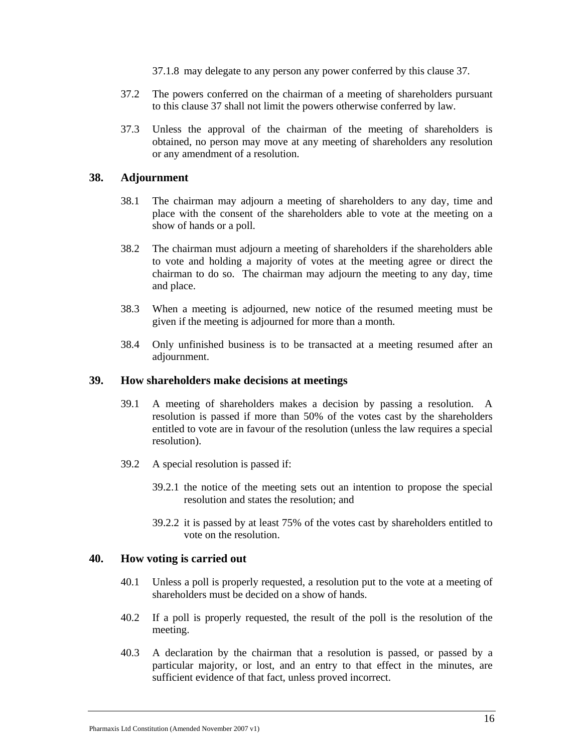- 37.1.8 may delegate to any person any power conferred by this clause 37.
- 37.2 The powers conferred on the chairman of a meeting of shareholders pursuant to this clause 37 shall not limit the powers otherwise conferred by law.
- 37.3 Unless the approval of the chairman of the meeting of shareholders is obtained, no person may move at any meeting of shareholders any resolution or any amendment of a resolution.

## **38. Adjournment**

- 38.1 The chairman may adjourn a meeting of shareholders to any day, time and place with the consent of the shareholders able to vote at the meeting on a show of hands or a poll.
- 38.2 The chairman must adjourn a meeting of shareholders if the shareholders able to vote and holding a majority of votes at the meeting agree or direct the chairman to do so. The chairman may adjourn the meeting to any day, time and place.
- 38.3 When a meeting is adjourned, new notice of the resumed meeting must be given if the meeting is adjourned for more than a month.
- 38.4 Only unfinished business is to be transacted at a meeting resumed after an adjournment.

#### **39. How shareholders make decisions at meetings**

- 39.1 A meeting of shareholders makes a decision by passing a resolution. A resolution is passed if more than 50% of the votes cast by the shareholders entitled to vote are in favour of the resolution (unless the law requires a special resolution).
- 39.2 A special resolution is passed if:
	- 39.2.1 the notice of the meeting sets out an intention to propose the special resolution and states the resolution; and
	- 39.2.2 it is passed by at least 75% of the votes cast by shareholders entitled to vote on the resolution.

#### **40. How voting is carried out**

- 40.1 Unless a poll is properly requested, a resolution put to the vote at a meeting of shareholders must be decided on a show of hands.
- 40.2 If a poll is properly requested, the result of the poll is the resolution of the meeting.
- 40.3 A declaration by the chairman that a resolution is passed, or passed by a particular majority, or lost, and an entry to that effect in the minutes, are sufficient evidence of that fact, unless proved incorrect.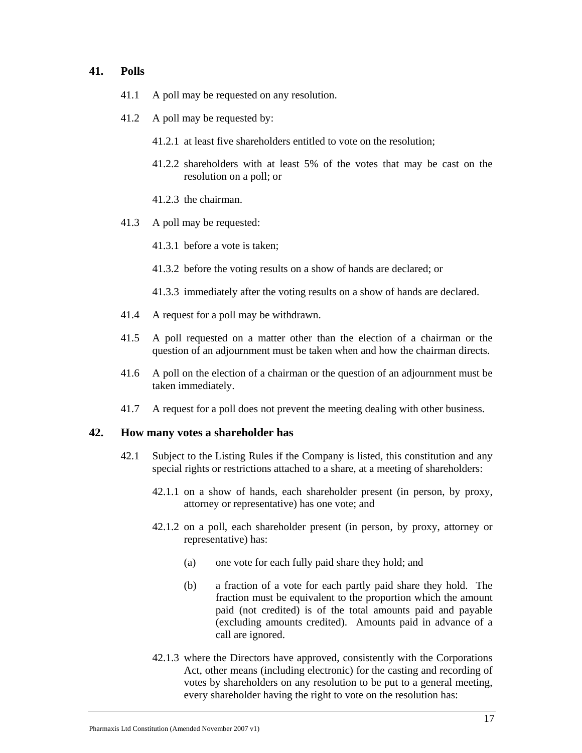#### **41. Polls**

- 41.1 A poll may be requested on any resolution.
- 41.2 A poll may be requested by:
	- 41.2.1 at least five shareholders entitled to vote on the resolution;
	- 41.2.2 shareholders with at least 5% of the votes that may be cast on the resolution on a poll; or
	- 41.2.3 the chairman.
- 41.3 A poll may be requested:
	- 41.3.1 before a vote is taken;
	- 41.3.2 before the voting results on a show of hands are declared; or
	- 41.3.3 immediately after the voting results on a show of hands are declared.
- 41.4 A request for a poll may be withdrawn.
- 41.5 A poll requested on a matter other than the election of a chairman or the question of an adjournment must be taken when and how the chairman directs.
- 41.6 A poll on the election of a chairman or the question of an adjournment must be taken immediately.
- 41.7 A request for a poll does not prevent the meeting dealing with other business.

#### **42. How many votes a shareholder has**

- 42.1 Subject to the Listing Rules if the Company is listed, this constitution and any special rights or restrictions attached to a share, at a meeting of shareholders:
	- 42.1.1 on a show of hands, each shareholder present (in person, by proxy, attorney or representative) has one vote; and
	- 42.1.2 on a poll, each shareholder present (in person, by proxy, attorney or representative) has:
		- (a) one vote for each fully paid share they hold; and
		- (b) a fraction of a vote for each partly paid share they hold. The fraction must be equivalent to the proportion which the amount paid (not credited) is of the total amounts paid and payable (excluding amounts credited). Amounts paid in advance of a call are ignored.
	- 42.1.3 where the Directors have approved, consistently with the Corporations Act, other means (including electronic) for the casting and recording of votes by shareholders on any resolution to be put to a general meeting, every shareholder having the right to vote on the resolution has: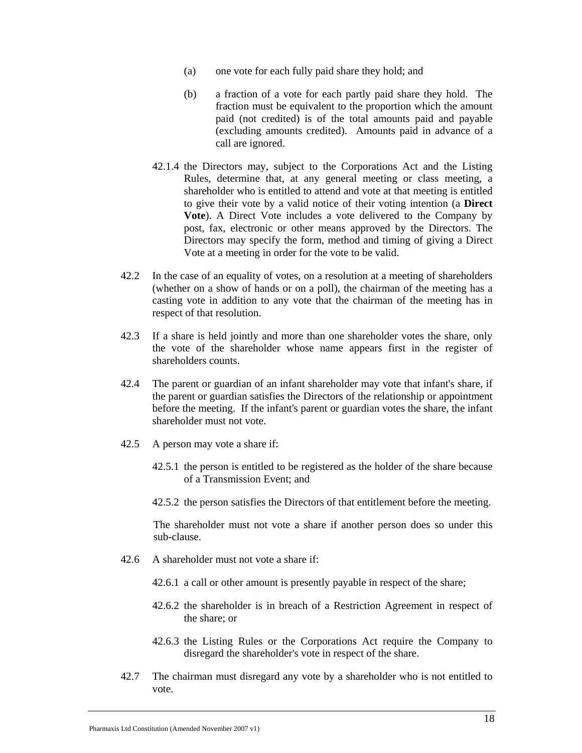- (a) one vote for each fully paid share they hold; and
- (b) a fraction of a vote for each partly paid share they hold. The fraction must be equivalent to the proportion which the amount paid (not credited) is of the total amounts paid and payable (excluding amounts credited). Amounts paid in advance of a call are ignored.
- 42.1.4 the Directors may, subject to the Corporations Act and the Listing Rules, determine that, at any general meeting or class meeting, a shareholder who is entitled to attend and vote at that meeting is entitled to give their vote by a valid notice of their voting intention (a **Direct Vote**). A Direct Vote includes a vote delivered to the Company by post, fax, electronic or other means approved by the Directors. The Directors may specify the form, method and timing of giving a Direct Vote at a meeting in order for the vote to be valid.
- 42.2 In the case of an equality of votes, on a resolution at a meeting of shareholders (whether on a show of hands or on a poll), the chairman of the meeting has a casting vote in addition to any vote that the chairman of the meeting has in respect of that resolution.
- 42.3 If a share is held jointly and more than one shareholder votes the share, only the vote of the shareholder whose name appears first in the register of shareholders counts.
- 42.4 The parent or guardian of an infant shareholder may vote that infant's share, if the parent or guardian satisfies the Directors of the relationship or appointment before the meeting. If the infant's parent or guardian votes the share, the infant shareholder must not vote.
- 42.5 A person may vote a share if:
	- 42.5.1 the person is entitled to be registered as the holder of the share because of a Transmission Event; and
	- 42.5.2 the person satisfies the Directors of that entitlement before the meeting.

The shareholder must not vote a share if another person does so under this sub-clause.

- 42.6 A shareholder must not vote a share if:
	- 42.6.1 a call or other amount is presently payable in respect of the share;
	- 42.6.2 the shareholder is in breach of a Restriction Agreement in respect of the share; or
	- 42.6.3 the Listing Rules or the Corporations Act require the Company to disregard the shareholder's vote in respect of the share.
- 42.7 The chairman must disregard any vote by a shareholder who is not entitled to vote.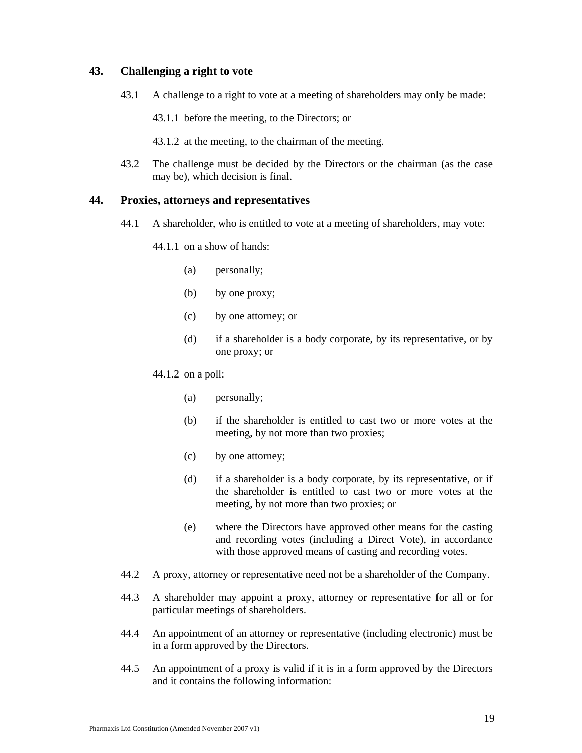## **43. Challenging a right to vote**

- 43.1 A challenge to a right to vote at a meeting of shareholders may only be made:
	- 43.1.1 before the meeting, to the Directors; or
	- 43.1.2 at the meeting, to the chairman of the meeting.
- 43.2 The challenge must be decided by the Directors or the chairman (as the case may be), which decision is final.

## **44. Proxies, attorneys and representatives**

- 44.1 A shareholder, who is entitled to vote at a meeting of shareholders, may vote:
	- 44.1.1 on a show of hands:
		- (a) personally;
		- (b) by one proxy;
		- (c) by one attorney; or
		- (d) if a shareholder is a body corporate, by its representative, or by one proxy; or
	- 44.1.2 on a poll:
		- (a) personally;
		- (b) if the shareholder is entitled to cast two or more votes at the meeting, by not more than two proxies;
		- (c) by one attorney;
		- (d) if a shareholder is a body corporate, by its representative, or if the shareholder is entitled to cast two or more votes at the meeting, by not more than two proxies; or
		- (e) where the Directors have approved other means for the casting and recording votes (including a Direct Vote), in accordance with those approved means of casting and recording votes.
- 44.2 A proxy, attorney or representative need not be a shareholder of the Company.
- 44.3 A shareholder may appoint a proxy, attorney or representative for all or for particular meetings of shareholders.
- 44.4 An appointment of an attorney or representative (including electronic) must be in a form approved by the Directors.
- 44.5 An appointment of a proxy is valid if it is in a form approved by the Directors and it contains the following information: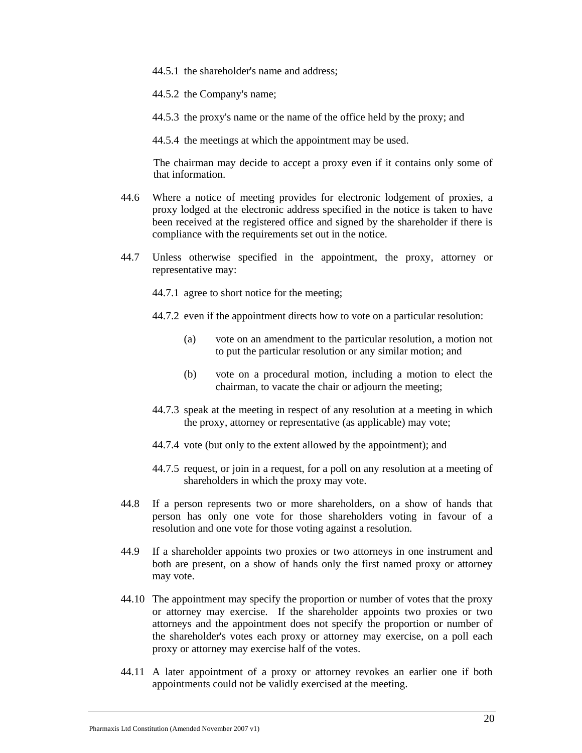- 44.5.1 the shareholder's name and address;
- 44.5.2 the Company's name;
- 44.5.3 the proxy's name or the name of the office held by the proxy; and
- 44.5.4 the meetings at which the appointment may be used.

The chairman may decide to accept a proxy even if it contains only some of that information.

- 44.6 Where a notice of meeting provides for electronic lodgement of proxies, a proxy lodged at the electronic address specified in the notice is taken to have been received at the registered office and signed by the shareholder if there is compliance with the requirements set out in the notice.
- 44.7 Unless otherwise specified in the appointment, the proxy, attorney or representative may:

44.7.1 agree to short notice for the meeting;

- 44.7.2 even if the appointment directs how to vote on a particular resolution:
	- (a) vote on an amendment to the particular resolution, a motion not to put the particular resolution or any similar motion; and
	- (b) vote on a procedural motion, including a motion to elect the chairman, to vacate the chair or adjourn the meeting;
- 44.7.3 speak at the meeting in respect of any resolution at a meeting in which the proxy, attorney or representative (as applicable) may vote;
- 44.7.4 vote (but only to the extent allowed by the appointment); and
- 44.7.5 request, or join in a request, for a poll on any resolution at a meeting of shareholders in which the proxy may vote.
- 44.8 If a person represents two or more shareholders, on a show of hands that person has only one vote for those shareholders voting in favour of a resolution and one vote for those voting against a resolution.
- 44.9 If a shareholder appoints two proxies or two attorneys in one instrument and both are present, on a show of hands only the first named proxy or attorney may vote.
- 44.10 The appointment may specify the proportion or number of votes that the proxy or attorney may exercise. If the shareholder appoints two proxies or two attorneys and the appointment does not specify the proportion or number of the shareholder's votes each proxy or attorney may exercise, on a poll each proxy or attorney may exercise half of the votes.
- 44.11 A later appointment of a proxy or attorney revokes an earlier one if both appointments could not be validly exercised at the meeting.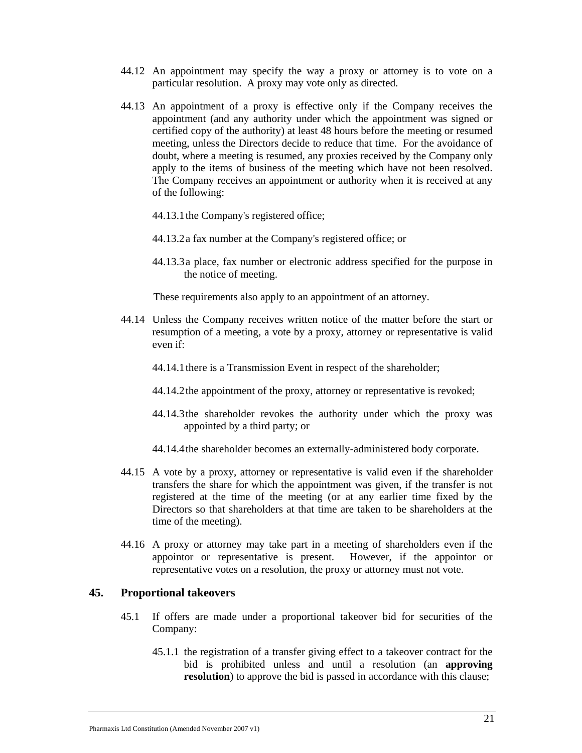- 44.12 An appointment may specify the way a proxy or attorney is to vote on a particular resolution. A proxy may vote only as directed.
- 44.13 An appointment of a proxy is effective only if the Company receives the appointment (and any authority under which the appointment was signed or certified copy of the authority) at least 48 hours before the meeting or resumed meeting, unless the Directors decide to reduce that time. For the avoidance of doubt, where a meeting is resumed, any proxies received by the Company only apply to the items of business of the meeting which have not been resolved. The Company receives an appointment or authority when it is received at any of the following:
	- 44.13.1the Company's registered office;
	- 44.13.2a fax number at the Company's registered office; or
	- 44.13.3a place, fax number or electronic address specified for the purpose in the notice of meeting.

These requirements also apply to an appointment of an attorney.

- 44.14 Unless the Company receives written notice of the matter before the start or resumption of a meeting, a vote by a proxy, attorney or representative is valid even if:
	- 44.14.1there is a Transmission Event in respect of the shareholder;
	- 44.14.2the appointment of the proxy, attorney or representative is revoked;
	- 44.14.3the shareholder revokes the authority under which the proxy was appointed by a third party; or
	- 44.14.4the shareholder becomes an externally-administered body corporate.
- 44.15 A vote by a proxy, attorney or representative is valid even if the shareholder transfers the share for which the appointment was given, if the transfer is not registered at the time of the meeting (or at any earlier time fixed by the Directors so that shareholders at that time are taken to be shareholders at the time of the meeting).
- 44.16 A proxy or attorney may take part in a meeting of shareholders even if the appointor or representative is present. However, if the appointor or representative votes on a resolution, the proxy or attorney must not vote.

## **45. Proportional takeovers**

- 45.1 If offers are made under a proportional takeover bid for securities of the Company:
	- 45.1.1 the registration of a transfer giving effect to a takeover contract for the bid is prohibited unless and until a resolution (an **approving resolution**) to approve the bid is passed in accordance with this clause;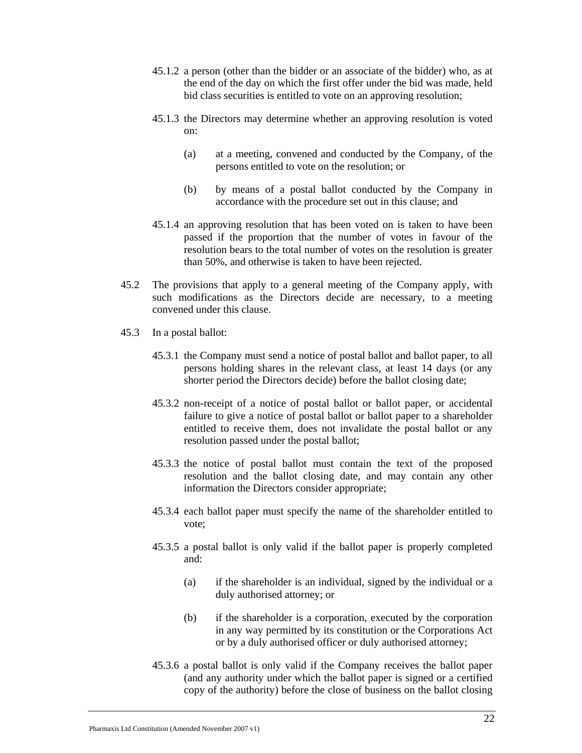- 45.1.2 a person (other than the bidder or an associate of the bidder) who, as at the end of the day on which the first offer under the bid was made, held bid class securities is entitled to vote on an approving resolution;
- 45.1.3 the Directors may determine whether an approving resolution is voted on:
	- (a) at a meeting, convened and conducted by the Company, of the persons entitled to vote on the resolution; or
	- (b) by means of a postal ballot conducted by the Company in accordance with the procedure set out in this clause; and
- 45.1.4 an approving resolution that has been voted on is taken to have been passed if the proportion that the number of votes in favour of the resolution bears to the total number of votes on the resolution is greater than 50%, and otherwise is taken to have been rejected.
- 45.2 The provisions that apply to a general meeting of the Company apply, with such modifications as the Directors decide are necessary, to a meeting convened under this clause.
- 45.3 In a postal ballot:
	- 45.3.1 the Company must send a notice of postal ballot and ballot paper, to all persons holding shares in the relevant class, at least 14 days (or any shorter period the Directors decide) before the ballot closing date;
	- 45.3.2 non-receipt of a notice of postal ballot or ballot paper, or accidental failure to give a notice of postal ballot or ballot paper to a shareholder entitled to receive them, does not invalidate the postal ballot or any resolution passed under the postal ballot;
	- 45.3.3 the notice of postal ballot must contain the text of the proposed resolution and the ballot closing date, and may contain any other information the Directors consider appropriate;
	- 45.3.4 each ballot paper must specify the name of the shareholder entitled to vote;
	- 45.3.5 a postal ballot is only valid if the ballot paper is properly completed and:
		- (a) if the shareholder is an individual, signed by the individual or a duly authorised attorney; or
		- (b) if the shareholder is a corporation, executed by the corporation in any way permitted by its constitution or the Corporations Act or by a duly authorised officer or duly authorised attorney;
	- 45.3.6 a postal ballot is only valid if the Company receives the ballot paper (and any authority under which the ballot paper is signed or a certified copy of the authority) before the close of business on the ballot closing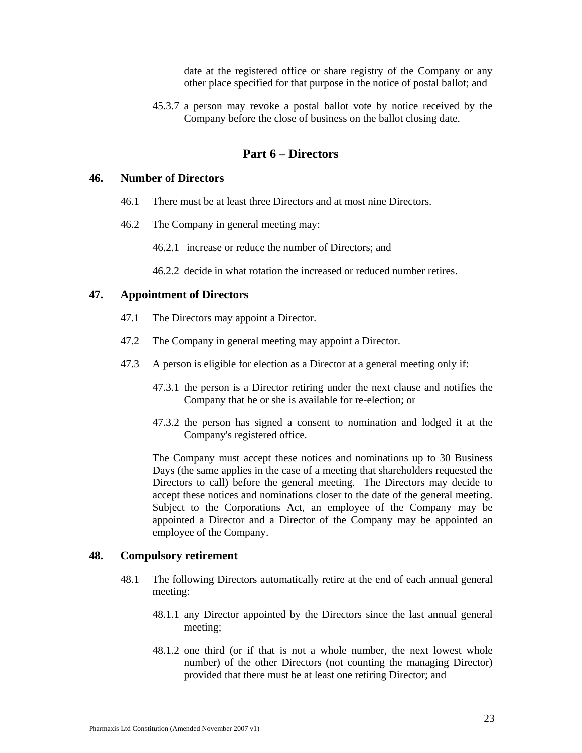date at the registered office or share registry of the Company or any other place specified for that purpose in the notice of postal ballot; and

45.3.7 a person may revoke a postal ballot vote by notice received by the Company before the close of business on the ballot closing date.

# **Part 6 – Directors**

#### **46. Number of Directors**

- 46.1 There must be at least three Directors and at most nine Directors.
- 46.2 The Company in general meeting may:
	- 46.2.1 increase or reduce the number of Directors; and
	- 46.2.2 decide in what rotation the increased or reduced number retires.

#### **47. Appointment of Directors**

- 47.1 The Directors may appoint a Director.
- 47.2 The Company in general meeting may appoint a Director.
- 47.3 A person is eligible for election as a Director at a general meeting only if:
	- 47.3.1 the person is a Director retiring under the next clause and notifies the Company that he or she is available for re-election; or
	- 47.3.2 the person has signed a consent to nomination and lodged it at the Company's registered office.

The Company must accept these notices and nominations up to 30 Business Days (the same applies in the case of a meeting that shareholders requested the Directors to call) before the general meeting. The Directors may decide to accept these notices and nominations closer to the date of the general meeting. Subject to the Corporations Act, an employee of the Company may be appointed a Director and a Director of the Company may be appointed an employee of the Company.

#### **48. Compulsory retirement**

- 48.1 The following Directors automatically retire at the end of each annual general meeting:
	- 48.1.1 any Director appointed by the Directors since the last annual general meeting;
	- 48.1.2 one third (or if that is not a whole number, the next lowest whole number) of the other Directors (not counting the managing Director) provided that there must be at least one retiring Director; and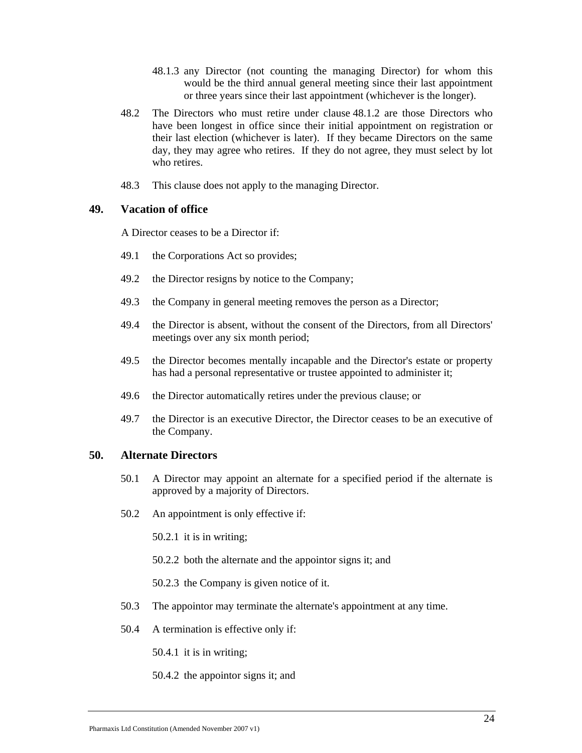- 48.1.3 any Director (not counting the managing Director) for whom this would be the third annual general meeting since their last appointment or three years since their last appointment (whichever is the longer).
- 48.2 The Directors who must retire under clause 48.1.2 are those Directors who have been longest in office since their initial appointment on registration or their last election (whichever is later). If they became Directors on the same day, they may agree who retires. If they do not agree, they must select by lot who retires.
- 48.3 This clause does not apply to the managing Director.

## **49. Vacation of office**

A Director ceases to be a Director if:

- 49.1 the Corporations Act so provides;
- 49.2 the Director resigns by notice to the Company;
- 49.3 the Company in general meeting removes the person as a Director;
- 49.4 the Director is absent, without the consent of the Directors, from all Directors' meetings over any six month period;
- 49.5 the Director becomes mentally incapable and the Director's estate or property has had a personal representative or trustee appointed to administer it;
- 49.6 the Director automatically retires under the previous clause; or
- 49.7 the Director is an executive Director, the Director ceases to be an executive of the Company.

## **50. Alternate Directors**

- 50.1 A Director may appoint an alternate for a specified period if the alternate is approved by a majority of Directors.
- 50.2 An appointment is only effective if:

50.2.1 it is in writing;

50.2.2 both the alternate and the appointor signs it; and

50.2.3 the Company is given notice of it.

- 50.3 The appointor may terminate the alternate's appointment at any time.
- 50.4 A termination is effective only if:

50.4.1 it is in writing;

50.4.2 the appointor signs it; and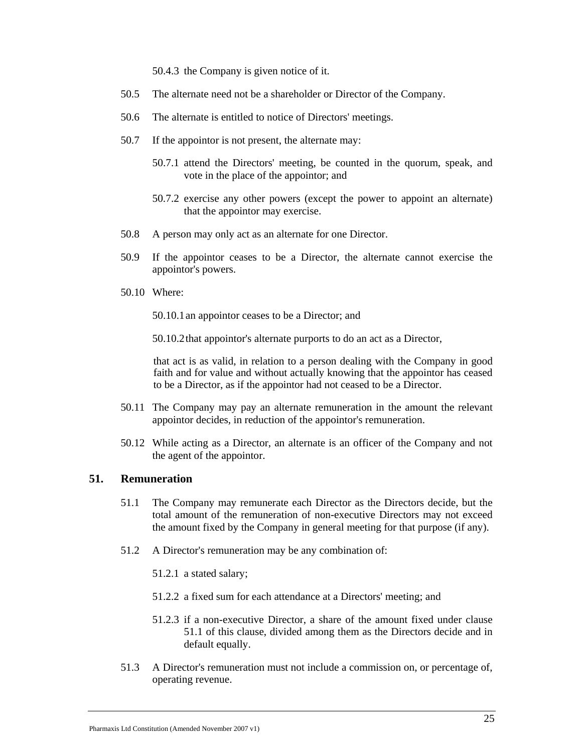50.4.3 the Company is given notice of it.

- 50.5 The alternate need not be a shareholder or Director of the Company.
- 50.6 The alternate is entitled to notice of Directors' meetings.
- 50.7 If the appointor is not present, the alternate may:
	- 50.7.1 attend the Directors' meeting, be counted in the quorum, speak, and vote in the place of the appointor; and
	- 50.7.2 exercise any other powers (except the power to appoint an alternate) that the appointor may exercise.
- 50.8 A person may only act as an alternate for one Director.
- 50.9 If the appointor ceases to be a Director, the alternate cannot exercise the appointor's powers.
- 50.10 Where:

50.10.1an appointor ceases to be a Director; and

50.10.2that appointor's alternate purports to do an act as a Director,

that act is as valid, in relation to a person dealing with the Company in good faith and for value and without actually knowing that the appointor has ceased to be a Director, as if the appointor had not ceased to be a Director.

- 50.11 The Company may pay an alternate remuneration in the amount the relevant appointor decides, in reduction of the appointor's remuneration.
- 50.12 While acting as a Director, an alternate is an officer of the Company and not the agent of the appointor.

#### **51. Remuneration**

- 51.1 The Company may remunerate each Director as the Directors decide, but the total amount of the remuneration of non-executive Directors may not exceed the amount fixed by the Company in general meeting for that purpose (if any).
- 51.2 A Director's remuneration may be any combination of:
	- 51.2.1 a stated salary;
	- 51.2.2 a fixed sum for each attendance at a Directors' meeting; and
	- 51.2.3 if a non-executive Director, a share of the amount fixed under clause 51.1 of this clause, divided among them as the Directors decide and in default equally.
- 51.3 A Director's remuneration must not include a commission on, or percentage of, operating revenue.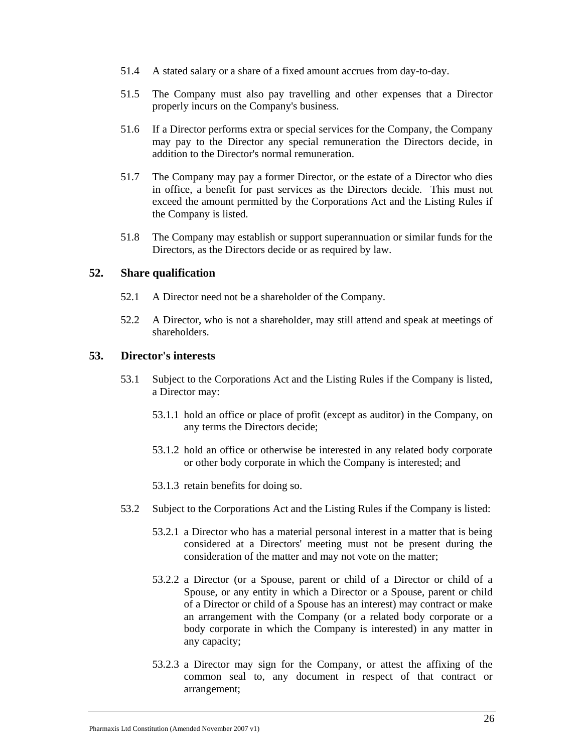- 51.4 A stated salary or a share of a fixed amount accrues from day-to-day.
- 51.5 The Company must also pay travelling and other expenses that a Director properly incurs on the Company's business.
- 51.6 If a Director performs extra or special services for the Company, the Company may pay to the Director any special remuneration the Directors decide, in addition to the Director's normal remuneration.
- 51.7 The Company may pay a former Director, or the estate of a Director who dies in office, a benefit for past services as the Directors decide. This must not exceed the amount permitted by the Corporations Act and the Listing Rules if the Company is listed.
- 51.8 The Company may establish or support superannuation or similar funds for the Directors, as the Directors decide or as required by law.

## **52. Share qualification**

- 52.1 A Director need not be a shareholder of the Company.
- 52.2 A Director, who is not a shareholder, may still attend and speak at meetings of shareholders.

## **53. Director's interests**

- 53.1 Subject to the Corporations Act and the Listing Rules if the Company is listed, a Director may:
	- 53.1.1 hold an office or place of profit (except as auditor) in the Company, on any terms the Directors decide;
	- 53.1.2 hold an office or otherwise be interested in any related body corporate or other body corporate in which the Company is interested; and
	- 53.1.3 retain benefits for doing so.
- 53.2 Subject to the Corporations Act and the Listing Rules if the Company is listed:
	- 53.2.1 a Director who has a material personal interest in a matter that is being considered at a Directors' meeting must not be present during the consideration of the matter and may not vote on the matter;
	- 53.2.2 a Director (or a Spouse, parent or child of a Director or child of a Spouse, or any entity in which a Director or a Spouse, parent or child of a Director or child of a Spouse has an interest) may contract or make an arrangement with the Company (or a related body corporate or a body corporate in which the Company is interested) in any matter in any capacity;
	- 53.2.3 a Director may sign for the Company, or attest the affixing of the common seal to, any document in respect of that contract or arrangement;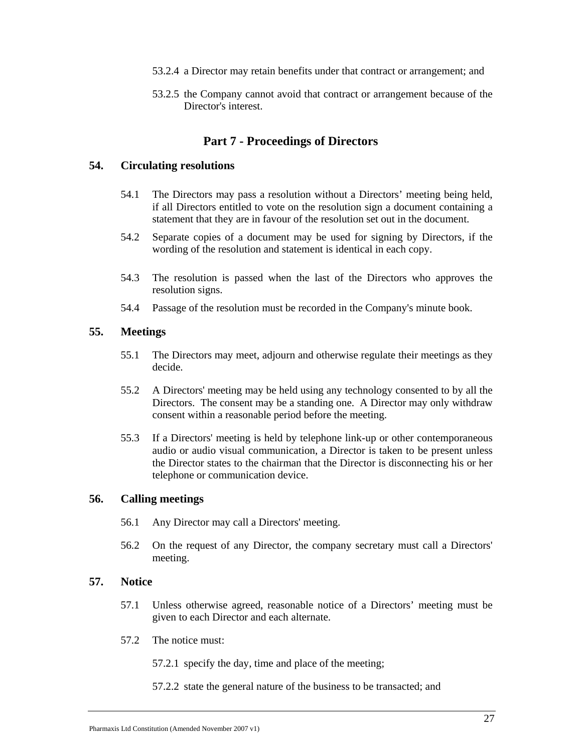- 53.2.4 a Director may retain benefits under that contract or arrangement; and
- 53.2.5 the Company cannot avoid that contract or arrangement because of the Director's interest.

## **Part 7 - Proceedings of Directors**

#### **54. Circulating resolutions**

- 54.1 The Directors may pass a resolution without a Directors' meeting being held, if all Directors entitled to vote on the resolution sign a document containing a statement that they are in favour of the resolution set out in the document.
- 54.2 Separate copies of a document may be used for signing by Directors, if the wording of the resolution and statement is identical in each copy.
- 54.3 The resolution is passed when the last of the Directors who approves the resolution signs.
- 54.4 Passage of the resolution must be recorded in the Company's minute book.

## **55. Meetings**

- 55.1 The Directors may meet, adjourn and otherwise regulate their meetings as they decide.
- 55.2 A Directors' meeting may be held using any technology consented to by all the Directors. The consent may be a standing one. A Director may only withdraw consent within a reasonable period before the meeting.
- 55.3 If a Directors' meeting is held by telephone link-up or other contemporaneous audio or audio visual communication, a Director is taken to be present unless the Director states to the chairman that the Director is disconnecting his or her telephone or communication device.

#### **56. Calling meetings**

- 56.1 Any Director may call a Directors' meeting.
- 56.2 On the request of any Director, the company secretary must call a Directors' meeting.

#### **57. Notice**

- 57.1 Unless otherwise agreed, reasonable notice of a Directors' meeting must be given to each Director and each alternate.
- 57.2 The notice must:

57.2.1 specify the day, time and place of the meeting;

57.2.2 state the general nature of the business to be transacted; and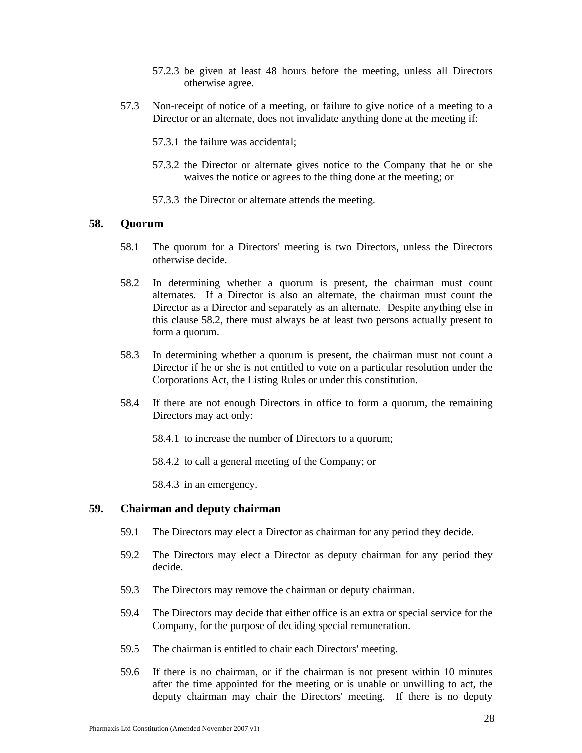- 57.2.3 be given at least 48 hours before the meeting, unless all Directors otherwise agree.
- 57.3 Non-receipt of notice of a meeting, or failure to give notice of a meeting to a Director or an alternate, does not invalidate anything done at the meeting if:
	- 57.3.1 the failure was accidental;
	- 57.3.2 the Director or alternate gives notice to the Company that he or she waives the notice or agrees to the thing done at the meeting; or
	- 57.3.3 the Director or alternate attends the meeting.

#### **58. Quorum**

- 58.1 The quorum for a Directors' meeting is two Directors, unless the Directors otherwise decide.
- 58.2 In determining whether a quorum is present, the chairman must count alternates. If a Director is also an alternate, the chairman must count the Director as a Director and separately as an alternate. Despite anything else in this clause 58.2, there must always be at least two persons actually present to form a quorum.
- 58.3 In determining whether a quorum is present, the chairman must not count a Director if he or she is not entitled to vote on a particular resolution under the Corporations Act, the Listing Rules or under this constitution.
- 58.4 If there are not enough Directors in office to form a quorum, the remaining Directors may act only:
	- 58.4.1 to increase the number of Directors to a quorum;
	- 58.4.2 to call a general meeting of the Company; or

58.4.3 in an emergency.

## **59. Chairman and deputy chairman**

- 59.1 The Directors may elect a Director as chairman for any period they decide.
- 59.2 The Directors may elect a Director as deputy chairman for any period they decide.
- 59.3 The Directors may remove the chairman or deputy chairman.
- 59.4 The Directors may decide that either office is an extra or special service for the Company, for the purpose of deciding special remuneration.
- 59.5 The chairman is entitled to chair each Directors' meeting.
- 59.6 If there is no chairman, or if the chairman is not present within 10 minutes after the time appointed for the meeting or is unable or unwilling to act, the deputy chairman may chair the Directors' meeting. If there is no deputy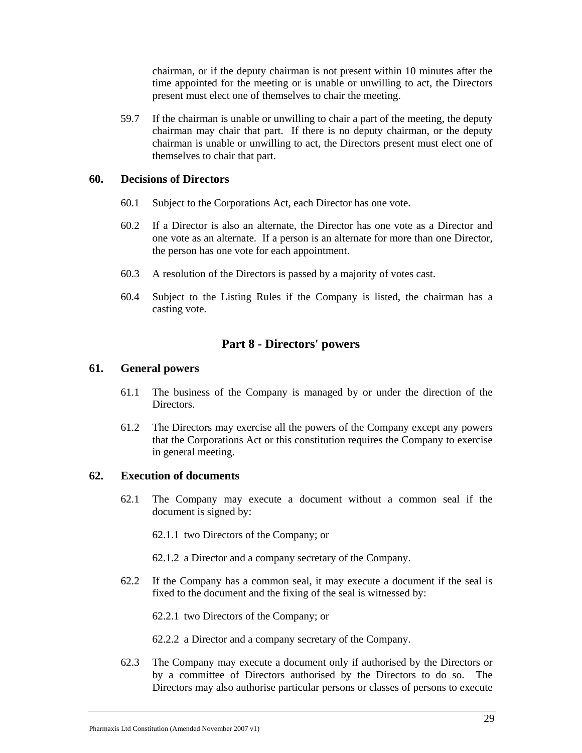chairman, or if the deputy chairman is not present within 10 minutes after the time appointed for the meeting or is unable or unwilling to act, the Directors present must elect one of themselves to chair the meeting.

59.7 If the chairman is unable or unwilling to chair a part of the meeting, the deputy chairman may chair that part. If there is no deputy chairman, or the deputy chairman is unable or unwilling to act, the Directors present must elect one of themselves to chair that part.

## **60. Decisions of Directors**

- 60.1 Subject to the Corporations Act, each Director has one vote.
- 60.2 If a Director is also an alternate, the Director has one vote as a Director and one vote as an alternate. If a person is an alternate for more than one Director, the person has one vote for each appointment.
- 60.3 A resolution of the Directors is passed by a majority of votes cast.
- 60.4 Subject to the Listing Rules if the Company is listed, the chairman has a casting vote.

## **Part 8 - Directors' powers**

## **61. General powers**

- 61.1 The business of the Company is managed by or under the direction of the Directors.
- 61.2 The Directors may exercise all the powers of the Company except any powers that the Corporations Act or this constitution requires the Company to exercise in general meeting.

### **62. Execution of documents**

62.1 The Company may execute a document without a common seal if the document is signed by:

62.1.1 two Directors of the Company; or

- 62.1.2 a Director and a company secretary of the Company.
- 62.2 If the Company has a common seal, it may execute a document if the seal is fixed to the document and the fixing of the seal is witnessed by:

62.2.1 two Directors of the Company; or

62.2.2 a Director and a company secretary of the Company.

62.3 The Company may execute a document only if authorised by the Directors or by a committee of Directors authorised by the Directors to do so. The Directors may also authorise particular persons or classes of persons to execute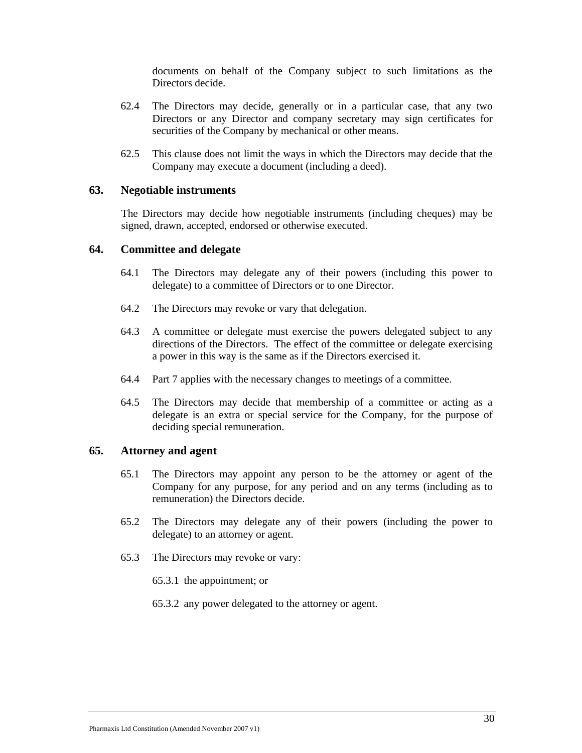documents on behalf of the Company subject to such limitations as the Directors decide.

- 62.4 The Directors may decide, generally or in a particular case, that any two Directors or any Director and company secretary may sign certificates for securities of the Company by mechanical or other means.
- 62.5 This clause does not limit the ways in which the Directors may decide that the Company may execute a document (including a deed).

## **63. Negotiable instruments**

The Directors may decide how negotiable instruments (including cheques) may be signed, drawn, accepted, endorsed or otherwise executed.

#### **64. Committee and delegate**

- 64.1 The Directors may delegate any of their powers (including this power to delegate) to a committee of Directors or to one Director.
- 64.2 The Directors may revoke or vary that delegation.
- 64.3 A committee or delegate must exercise the powers delegated subject to any directions of the Directors. The effect of the committee or delegate exercising a power in this way is the same as if the Directors exercised it.
- 64.4 Part 7 applies with the necessary changes to meetings of a committee.
- 64.5 The Directors may decide that membership of a committee or acting as a delegate is an extra or special service for the Company, for the purpose of deciding special remuneration.

## **65. Attorney and agent**

- 65.1 The Directors may appoint any person to be the attorney or agent of the Company for any purpose, for any period and on any terms (including as to remuneration) the Directors decide.
- 65.2 The Directors may delegate any of their powers (including the power to delegate) to an attorney or agent.
- 65.3 The Directors may revoke or vary:
	- 65.3.1 the appointment; or
	- 65.3.2 any power delegated to the attorney or agent.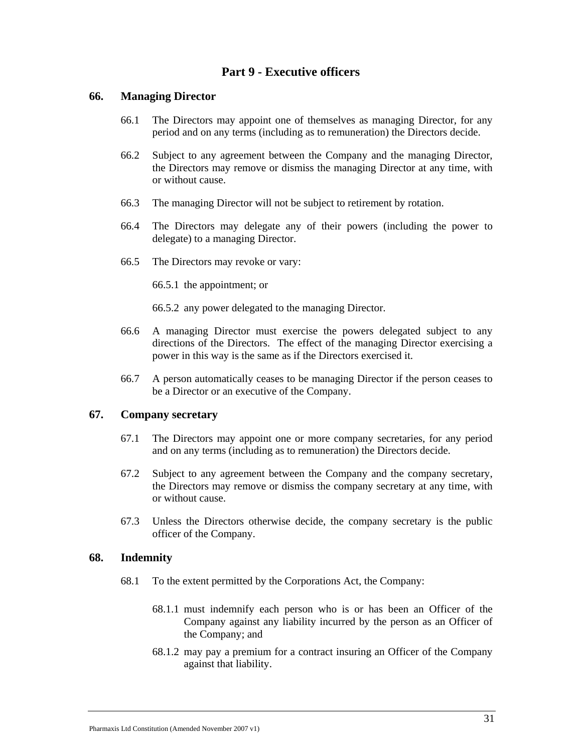# **Part 9 - Executive officers**

## **66. Managing Director**

- 66.1 The Directors may appoint one of themselves as managing Director, for any period and on any terms (including as to remuneration) the Directors decide.
- 66.2 Subject to any agreement between the Company and the managing Director, the Directors may remove or dismiss the managing Director at any time, with or without cause.
- 66.3 The managing Director will not be subject to retirement by rotation.
- 66.4 The Directors may delegate any of their powers (including the power to delegate) to a managing Director.
- 66.5 The Directors may revoke or vary:

66.5.1 the appointment; or

66.5.2 any power delegated to the managing Director.

- 66.6 A managing Director must exercise the powers delegated subject to any directions of the Directors. The effect of the managing Director exercising a power in this way is the same as if the Directors exercised it.
- 66.7 A person automatically ceases to be managing Director if the person ceases to be a Director or an executive of the Company.

#### **67. Company secretary**

- 67.1 The Directors may appoint one or more company secretaries, for any period and on any terms (including as to remuneration) the Directors decide.
- 67.2 Subject to any agreement between the Company and the company secretary, the Directors may remove or dismiss the company secretary at any time, with or without cause.
- 67.3 Unless the Directors otherwise decide, the company secretary is the public officer of the Company.

#### **68. Indemnity**

- 68.1 To the extent permitted by the Corporations Act, the Company:
	- 68.1.1 must indemnify each person who is or has been an Officer of the Company against any liability incurred by the person as an Officer of the Company; and
	- 68.1.2 may pay a premium for a contract insuring an Officer of the Company against that liability.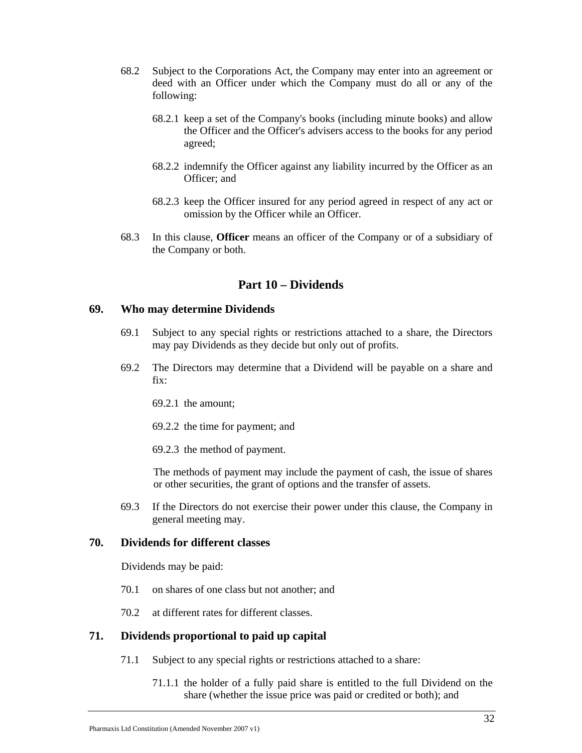- 68.2 Subject to the Corporations Act, the Company may enter into an agreement or deed with an Officer under which the Company must do all or any of the following:
	- 68.2.1 keep a set of the Company's books (including minute books) and allow the Officer and the Officer's advisers access to the books for any period agreed;
	- 68.2.2 indemnify the Officer against any liability incurred by the Officer as an Officer; and
	- 68.2.3 keep the Officer insured for any period agreed in respect of any act or omission by the Officer while an Officer.
- 68.3 In this clause, **Officer** means an officer of the Company or of a subsidiary of the Company or both.

## **Part 10 – Dividends**

#### **69. Who may determine Dividends**

- 69.1 Subject to any special rights or restrictions attached to a share, the Directors may pay Dividends as they decide but only out of profits.
- 69.2 The Directors may determine that a Dividend will be payable on a share and  $fix'$ 
	- 69.2.1 the amount;
	- 69.2.2 the time for payment; and
	- 69.2.3 the method of payment.

The methods of payment may include the payment of cash, the issue of shares or other securities, the grant of options and the transfer of assets.

69.3 If the Directors do not exercise their power under this clause, the Company in general meeting may.

#### **70. Dividends for different classes**

Dividends may be paid:

- 70.1 on shares of one class but not another; and
- 70.2 at different rates for different classes.

#### **71. Dividends proportional to paid up capital**

- 71.1 Subject to any special rights or restrictions attached to a share:
	- 71.1.1 the holder of a fully paid share is entitled to the full Dividend on the share (whether the issue price was paid or credited or both); and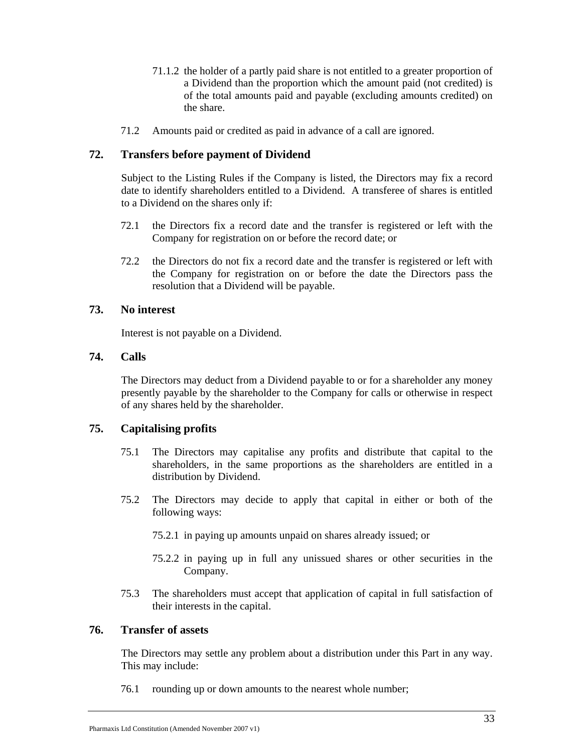- 71.1.2 the holder of a partly paid share is not entitled to a greater proportion of a Dividend than the proportion which the amount paid (not credited) is of the total amounts paid and payable (excluding amounts credited) on the share.
- 71.2 Amounts paid or credited as paid in advance of a call are ignored.

## **72. Transfers before payment of Dividend**

Subject to the Listing Rules if the Company is listed, the Directors may fix a record date to identify shareholders entitled to a Dividend. A transferee of shares is entitled to a Dividend on the shares only if:

- 72.1 the Directors fix a record date and the transfer is registered or left with the Company for registration on or before the record date; or
- 72.2 the Directors do not fix a record date and the transfer is registered or left with the Company for registration on or before the date the Directors pass the resolution that a Dividend will be payable.

## **73. No interest**

Interest is not payable on a Dividend.

## **74. Calls**

The Directors may deduct from a Dividend payable to or for a shareholder any money presently payable by the shareholder to the Company for calls or otherwise in respect of any shares held by the shareholder.

## **75. Capitalising profits**

- 75.1 The Directors may capitalise any profits and distribute that capital to the shareholders, in the same proportions as the shareholders are entitled in a distribution by Dividend.
- 75.2 The Directors may decide to apply that capital in either or both of the following ways:
	- 75.2.1 in paying up amounts unpaid on shares already issued; or
	- 75.2.2 in paying up in full any unissued shares or other securities in the Company.
- 75.3 The shareholders must accept that application of capital in full satisfaction of their interests in the capital.

#### **76. Transfer of assets**

The Directors may settle any problem about a distribution under this Part in any way. This may include:

76.1 rounding up or down amounts to the nearest whole number;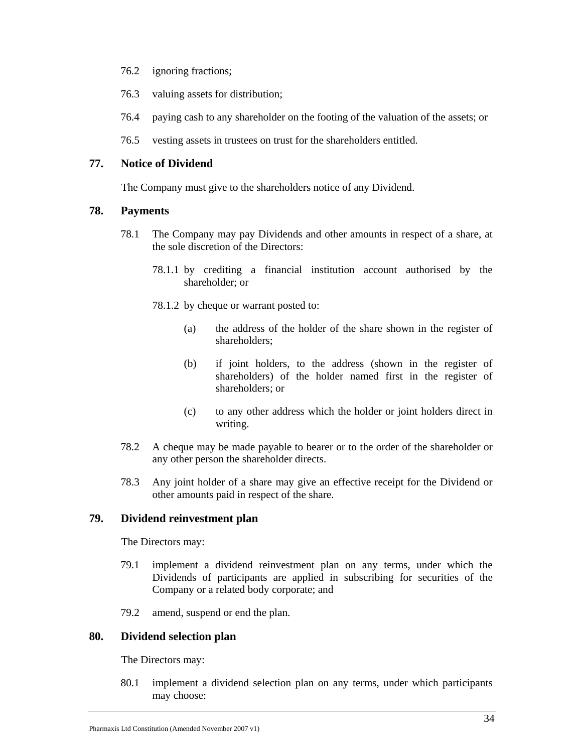- 76.2 ignoring fractions;
- 76.3 valuing assets for distribution;
- 76.4 paying cash to any shareholder on the footing of the valuation of the assets; or
- 76.5 vesting assets in trustees on trust for the shareholders entitled.

## **77. Notice of Dividend**

The Company must give to the shareholders notice of any Dividend.

## **78. Payments**

- 78.1 The Company may pay Dividends and other amounts in respect of a share, at the sole discretion of the Directors:
	- 78.1.1 by crediting a financial institution account authorised by the shareholder; or
	- 78.1.2 by cheque or warrant posted to:
		- (a) the address of the holder of the share shown in the register of shareholders;
		- (b) if joint holders, to the address (shown in the register of shareholders) of the holder named first in the register of shareholders; or
		- (c) to any other address which the holder or joint holders direct in writing.
- 78.2 A cheque may be made payable to bearer or to the order of the shareholder or any other person the shareholder directs.
- 78.3 Any joint holder of a share may give an effective receipt for the Dividend or other amounts paid in respect of the share.

## **79. Dividend reinvestment plan**

The Directors may:

- 79.1 implement a dividend reinvestment plan on any terms, under which the Dividends of participants are applied in subscribing for securities of the Company or a related body corporate; and
- 79.2 amend, suspend or end the plan.

## **80. Dividend selection plan**

The Directors may:

80.1 implement a dividend selection plan on any terms, under which participants may choose: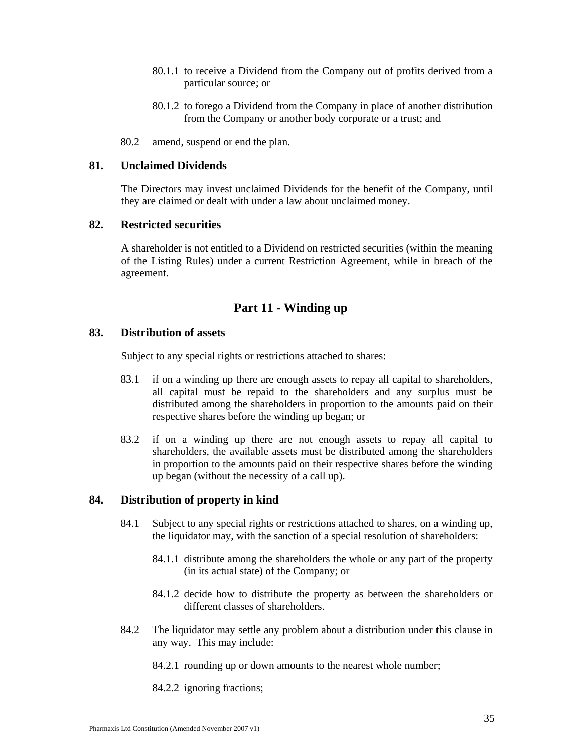- 80.1.1 to receive a Dividend from the Company out of profits derived from a particular source; or
- 80.1.2 to forego a Dividend from the Company in place of another distribution from the Company or another body corporate or a trust; and
- 80.2 amend, suspend or end the plan.

#### **81. Unclaimed Dividends**

The Directors may invest unclaimed Dividends for the benefit of the Company, until they are claimed or dealt with under a law about unclaimed money.

## **82. Restricted securities**

A shareholder is not entitled to a Dividend on restricted securities (within the meaning of the Listing Rules) under a current Restriction Agreement, while in breach of the agreement.

## **Part 11 - Winding up**

#### **83. Distribution of assets**

Subject to any special rights or restrictions attached to shares:

- 83.1 if on a winding up there are enough assets to repay all capital to shareholders, all capital must be repaid to the shareholders and any surplus must be distributed among the shareholders in proportion to the amounts paid on their respective shares before the winding up began; or
- 83.2 if on a winding up there are not enough assets to repay all capital to shareholders, the available assets must be distributed among the shareholders in proportion to the amounts paid on their respective shares before the winding up began (without the necessity of a call up).

#### **84. Distribution of property in kind**

- 84.1 Subject to any special rights or restrictions attached to shares, on a winding up, the liquidator may, with the sanction of a special resolution of shareholders:
	- 84.1.1 distribute among the shareholders the whole or any part of the property (in its actual state) of the Company; or
	- 84.1.2 decide how to distribute the property as between the shareholders or different classes of shareholders.
- 84.2 The liquidator may settle any problem about a distribution under this clause in any way. This may include:
	- 84.2.1 rounding up or down amounts to the nearest whole number;

84.2.2 ignoring fractions;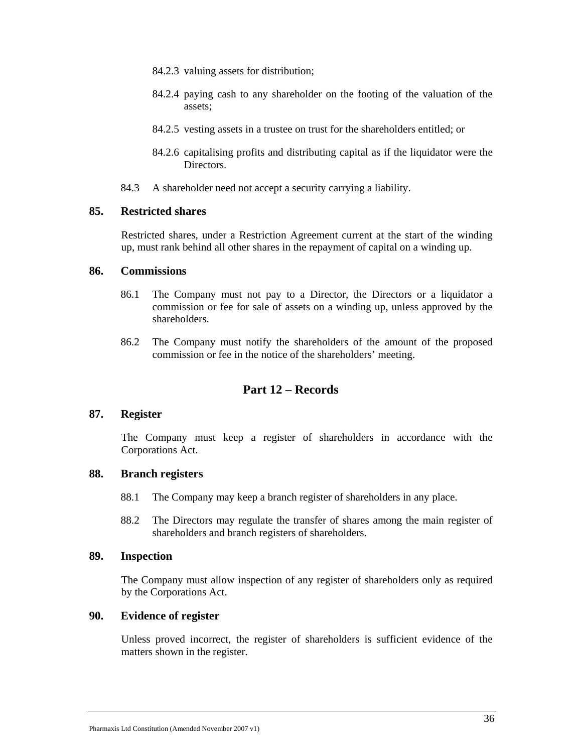- 84.2.3 valuing assets for distribution;
- 84.2.4 paying cash to any shareholder on the footing of the valuation of the assets;
- 84.2.5 vesting assets in a trustee on trust for the shareholders entitled; or
- 84.2.6 capitalising profits and distributing capital as if the liquidator were the Directors.
- 84.3 A shareholder need not accept a security carrying a liability.

#### **85. Restricted shares**

Restricted shares, under a Restriction Agreement current at the start of the winding up, must rank behind all other shares in the repayment of capital on a winding up.

#### **86. Commissions**

- 86.1 The Company must not pay to a Director, the Directors or a liquidator a commission or fee for sale of assets on a winding up, unless approved by the shareholders.
- 86.2 The Company must notify the shareholders of the amount of the proposed commission or fee in the notice of the shareholders' meeting.

# **Part 12 – Records**

#### **87. Register**

The Company must keep a register of shareholders in accordance with the Corporations Act.

## **88. Branch registers**

- 88.1 The Company may keep a branch register of shareholders in any place.
- 88.2 The Directors may regulate the transfer of shares among the main register of shareholders and branch registers of shareholders.

## **89. Inspection**

The Company must allow inspection of any register of shareholders only as required by the Corporations Act.

#### **90. Evidence of register**

Unless proved incorrect, the register of shareholders is sufficient evidence of the matters shown in the register.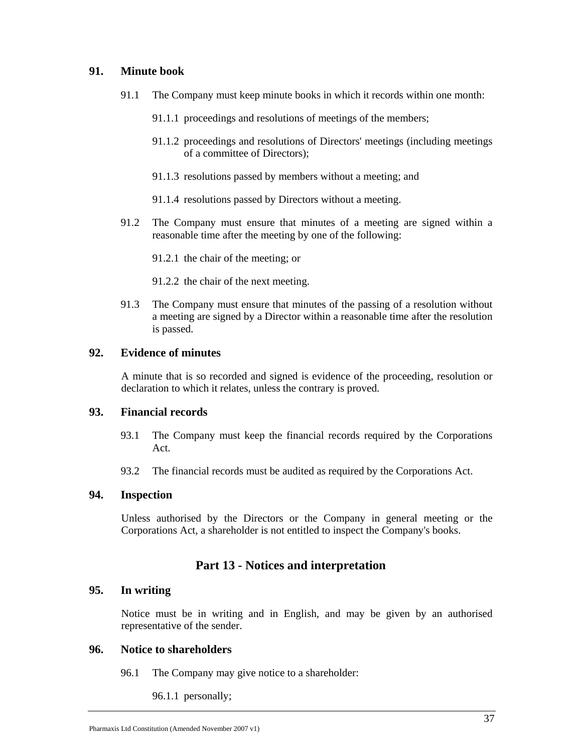## **91. Minute book**

- 91.1 The Company must keep minute books in which it records within one month:
	- 91.1.1 proceedings and resolutions of meetings of the members;
	- 91.1.2 proceedings and resolutions of Directors' meetings (including meetings of a committee of Directors);
	- 91.1.3 resolutions passed by members without a meeting; and
	- 91.1.4 resolutions passed by Directors without a meeting.
- 91.2 The Company must ensure that minutes of a meeting are signed within a reasonable time after the meeting by one of the following:

91.2.1 the chair of the meeting; or

- 91.2.2 the chair of the next meeting.
- 91.3 The Company must ensure that minutes of the passing of a resolution without a meeting are signed by a Director within a reasonable time after the resolution is passed.

## **92. Evidence of minutes**

A minute that is so recorded and signed is evidence of the proceeding, resolution or declaration to which it relates, unless the contrary is proved.

#### **93. Financial records**

- 93.1 The Company must keep the financial records required by the Corporations Act.
- 93.2 The financial records must be audited as required by the Corporations Act.

#### **94. Inspection**

Unless authorised by the Directors or the Company in general meeting or the Corporations Act, a shareholder is not entitled to inspect the Company's books.

## **Part 13 - Notices and interpretation**

#### **95. In writing**

Notice must be in writing and in English, and may be given by an authorised representative of the sender.

## **96. Notice to shareholders**

96.1 The Company may give notice to a shareholder:

96.1.1 personally;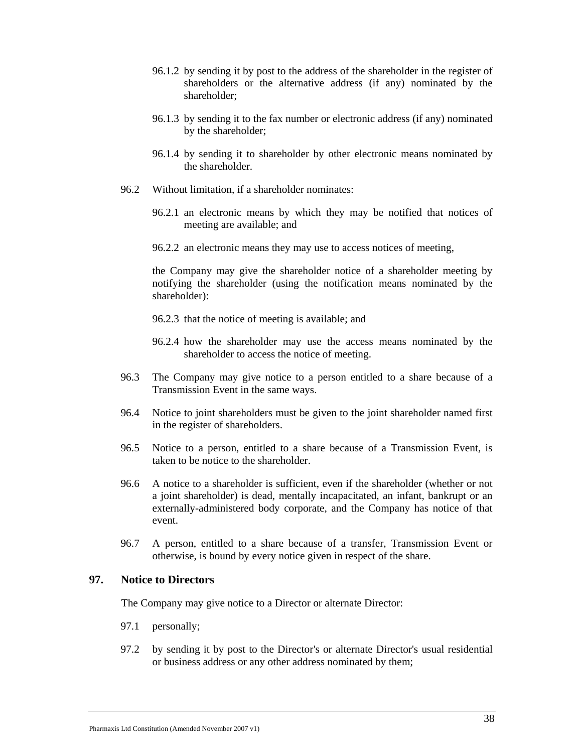- 96.1.2 by sending it by post to the address of the shareholder in the register of shareholders or the alternative address (if any) nominated by the shareholder;
- 96.1.3 by sending it to the fax number or electronic address (if any) nominated by the shareholder;
- 96.1.4 by sending it to shareholder by other electronic means nominated by the shareholder.
- 96.2 Without limitation, if a shareholder nominates:
	- 96.2.1 an electronic means by which they may be notified that notices of meeting are available; and
	- 96.2.2 an electronic means they may use to access notices of meeting,

the Company may give the shareholder notice of a shareholder meeting by notifying the shareholder (using the notification means nominated by the shareholder):

- 96.2.3 that the notice of meeting is available; and
- 96.2.4 how the shareholder may use the access means nominated by the shareholder to access the notice of meeting.
- 96.3 The Company may give notice to a person entitled to a share because of a Transmission Event in the same ways.
- 96.4 Notice to joint shareholders must be given to the joint shareholder named first in the register of shareholders.
- 96.5 Notice to a person, entitled to a share because of a Transmission Event, is taken to be notice to the shareholder.
- 96.6 A notice to a shareholder is sufficient, even if the shareholder (whether or not a joint shareholder) is dead, mentally incapacitated, an infant, bankrupt or an externally-administered body corporate, and the Company has notice of that event.
- 96.7 A person, entitled to a share because of a transfer, Transmission Event or otherwise, is bound by every notice given in respect of the share.

## **97. Notice to Directors**

The Company may give notice to a Director or alternate Director:

- 97.1 personally;
- 97.2 by sending it by post to the Director's or alternate Director's usual residential or business address or any other address nominated by them;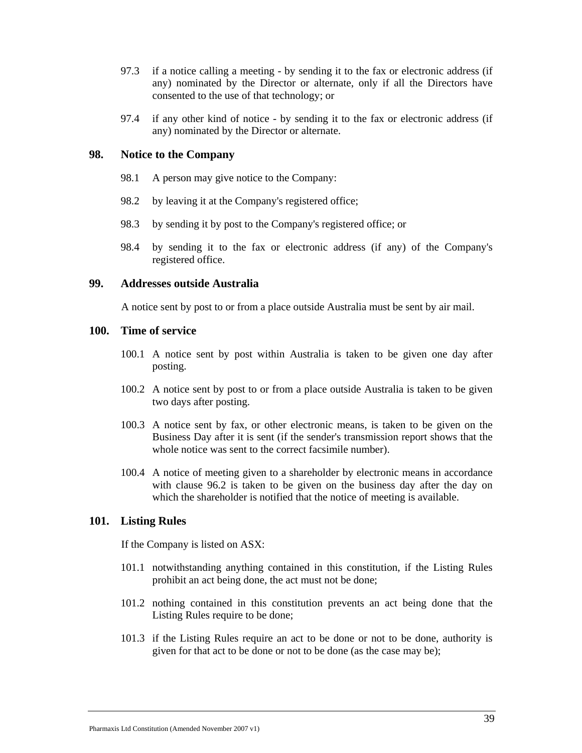- 97.3 if a notice calling a meeting by sending it to the fax or electronic address (if any) nominated by the Director or alternate, only if all the Directors have consented to the use of that technology; or
- 97.4 if any other kind of notice by sending it to the fax or electronic address (if any) nominated by the Director or alternate.

## **98. Notice to the Company**

- 98.1 A person may give notice to the Company:
- 98.2 by leaving it at the Company's registered office;
- 98.3 by sending it by post to the Company's registered office; or
- 98.4 by sending it to the fax or electronic address (if any) of the Company's registered office.

#### **99. Addresses outside Australia**

A notice sent by post to or from a place outside Australia must be sent by air mail.

## **100. Time of service**

- 100.1 A notice sent by post within Australia is taken to be given one day after posting.
- 100.2 A notice sent by post to or from a place outside Australia is taken to be given two days after posting.
- 100.3 A notice sent by fax, or other electronic means, is taken to be given on the Business Day after it is sent (if the sender's transmission report shows that the whole notice was sent to the correct facsimile number).
- 100.4 A notice of meeting given to a shareholder by electronic means in accordance with clause 96.2 is taken to be given on the business day after the day on which the shareholder is notified that the notice of meeting is available.

#### **101. Listing Rules**

If the Company is listed on ASX:

- 101.1 notwithstanding anything contained in this constitution, if the Listing Rules prohibit an act being done, the act must not be done;
- 101.2 nothing contained in this constitution prevents an act being done that the Listing Rules require to be done;
- 101.3 if the Listing Rules require an act to be done or not to be done, authority is given for that act to be done or not to be done (as the case may be);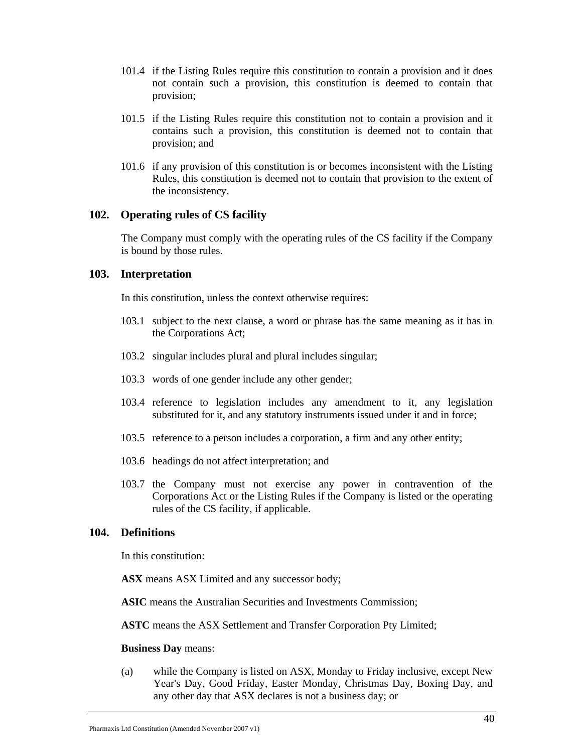- 101.4 if the Listing Rules require this constitution to contain a provision and it does not contain such a provision, this constitution is deemed to contain that provision;
- 101.5 if the Listing Rules require this constitution not to contain a provision and it contains such a provision, this constitution is deemed not to contain that provision; and
- 101.6 if any provision of this constitution is or becomes inconsistent with the Listing Rules, this constitution is deemed not to contain that provision to the extent of the inconsistency.

#### **102. Operating rules of CS facility**

The Company must comply with the operating rules of the CS facility if the Company is bound by those rules.

#### **103. Interpretation**

In this constitution, unless the context otherwise requires:

- 103.1 subject to the next clause, a word or phrase has the same meaning as it has in the Corporations Act;
- 103.2 singular includes plural and plural includes singular;
- 103.3 words of one gender include any other gender;
- 103.4 reference to legislation includes any amendment to it, any legislation substituted for it, and any statutory instruments issued under it and in force;
- 103.5 reference to a person includes a corporation, a firm and any other entity;
- 103.6 headings do not affect interpretation; and
- 103.7 the Company must not exercise any power in contravention of the Corporations Act or the Listing Rules if the Company is listed or the operating rules of the CS facility, if applicable.

#### **104. Definitions**

In this constitution:

**ASX** means ASX Limited and any successor body;

**ASIC** means the Australian Securities and Investments Commission;

**ASTC** means the ASX Settlement and Transfer Corporation Pty Limited;

#### **Business Day** means:

(a) while the Company is listed on ASX, Monday to Friday inclusive, except New Year's Day, Good Friday, Easter Monday, Christmas Day, Boxing Day, and any other day that ASX declares is not a business day; or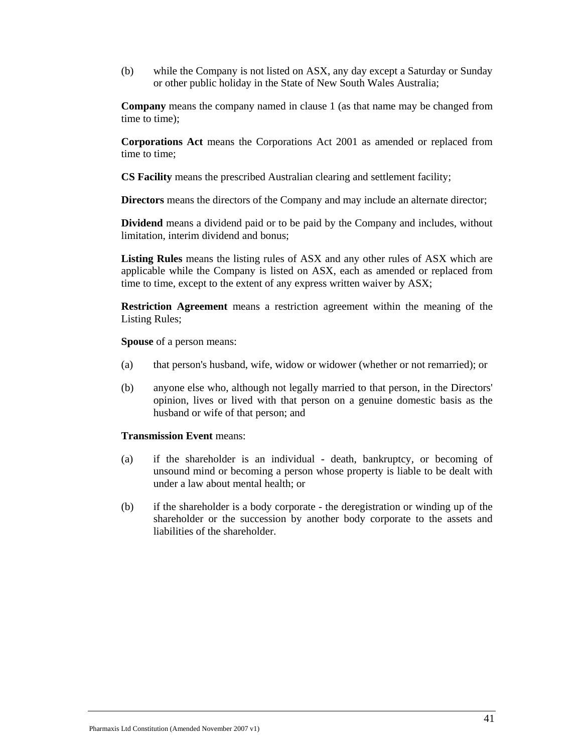(b) while the Company is not listed on ASX, any day except a Saturday or Sunday or other public holiday in the State of New South Wales Australia;

**Company** means the company named in clause 1 (as that name may be changed from time to time);

**Corporations Act** means the Corporations Act 2001 as amended or replaced from time to time;

**CS Facility** means the prescribed Australian clearing and settlement facility;

**Directors** means the directors of the Company and may include an alternate director;

**Dividend** means a dividend paid or to be paid by the Company and includes, without limitation, interim dividend and bonus;

**Listing Rules** means the listing rules of ASX and any other rules of ASX which are applicable while the Company is listed on ASX, each as amended or replaced from time to time, except to the extent of any express written waiver by ASX;

**Restriction Agreement** means a restriction agreement within the meaning of the Listing Rules;

**Spouse** of a person means:

- (a) that person's husband, wife, widow or widower (whether or not remarried); or
- (b) anyone else who, although not legally married to that person, in the Directors' opinion, lives or lived with that person on a genuine domestic basis as the husband or wife of that person; and

#### **Transmission Event** means:

- (a) if the shareholder is an individual death, bankruptcy, or becoming of unsound mind or becoming a person whose property is liable to be dealt with under a law about mental health; or
- (b) if the shareholder is a body corporate the deregistration or winding up of the shareholder or the succession by another body corporate to the assets and liabilities of the shareholder.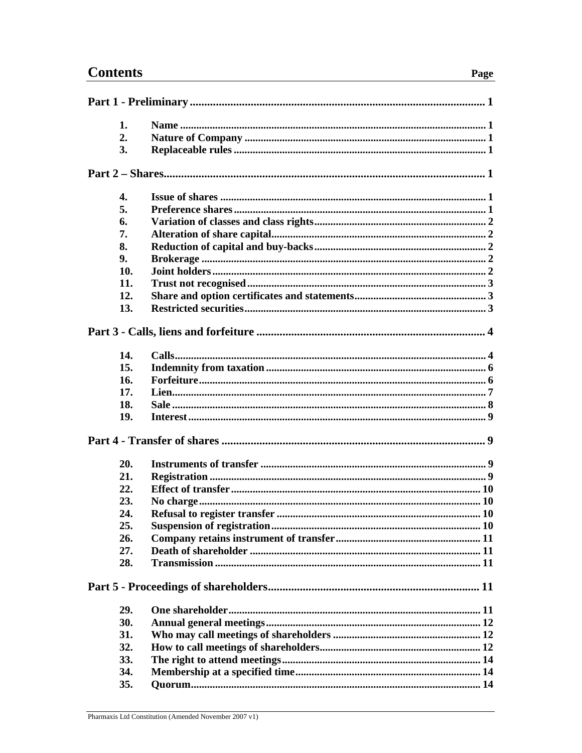# **Contents**

| 1.  |  |  |  |
|-----|--|--|--|
| 2.  |  |  |  |
| 3.  |  |  |  |
|     |  |  |  |
| 4.  |  |  |  |
| 5.  |  |  |  |
| 6.  |  |  |  |
| 7.  |  |  |  |
| 8.  |  |  |  |
| 9.  |  |  |  |
| 10. |  |  |  |
| 11. |  |  |  |
|     |  |  |  |
| 12. |  |  |  |
| 13. |  |  |  |
|     |  |  |  |
| 14. |  |  |  |
| 15. |  |  |  |
| 16. |  |  |  |
| 17. |  |  |  |
| 18. |  |  |  |
| 19. |  |  |  |
|     |  |  |  |
| 20. |  |  |  |
| 21. |  |  |  |
| 22. |  |  |  |
| 23. |  |  |  |
| 24  |  |  |  |
| 25. |  |  |  |
| 26. |  |  |  |
| 27. |  |  |  |
| 28. |  |  |  |
|     |  |  |  |
| 29. |  |  |  |
| 30. |  |  |  |
| 31. |  |  |  |
| 32. |  |  |  |
| 33. |  |  |  |
| 34. |  |  |  |
| 35. |  |  |  |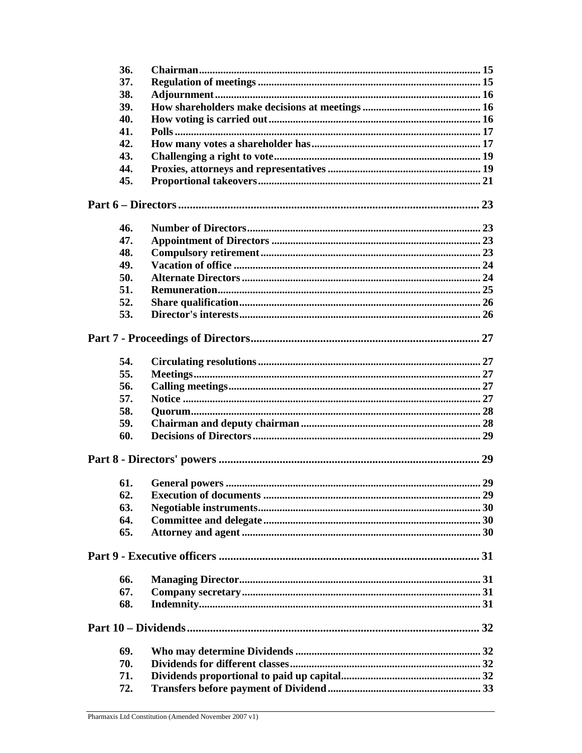| 36. |  |  |  |
|-----|--|--|--|
| 37. |  |  |  |
| 38. |  |  |  |
| 39. |  |  |  |
| 40. |  |  |  |
| 41. |  |  |  |
| 42. |  |  |  |
| 43. |  |  |  |
| 44. |  |  |  |
| 45. |  |  |  |
|     |  |  |  |
| 46. |  |  |  |
| 47. |  |  |  |
| 48. |  |  |  |
| 49. |  |  |  |
| 50. |  |  |  |
| 51. |  |  |  |
| 52. |  |  |  |
| 53. |  |  |  |
|     |  |  |  |
| 54. |  |  |  |
| 55. |  |  |  |
| 56. |  |  |  |
| 57. |  |  |  |
| 58. |  |  |  |
| 59. |  |  |  |
| 60. |  |  |  |
|     |  |  |  |
| 61. |  |  |  |
| 62. |  |  |  |
| 63. |  |  |  |
| 64. |  |  |  |
| 65. |  |  |  |
|     |  |  |  |
| 66. |  |  |  |
| 67. |  |  |  |
| 68. |  |  |  |
|     |  |  |  |
| 69. |  |  |  |
| 70. |  |  |  |
| 71. |  |  |  |
| 72. |  |  |  |
|     |  |  |  |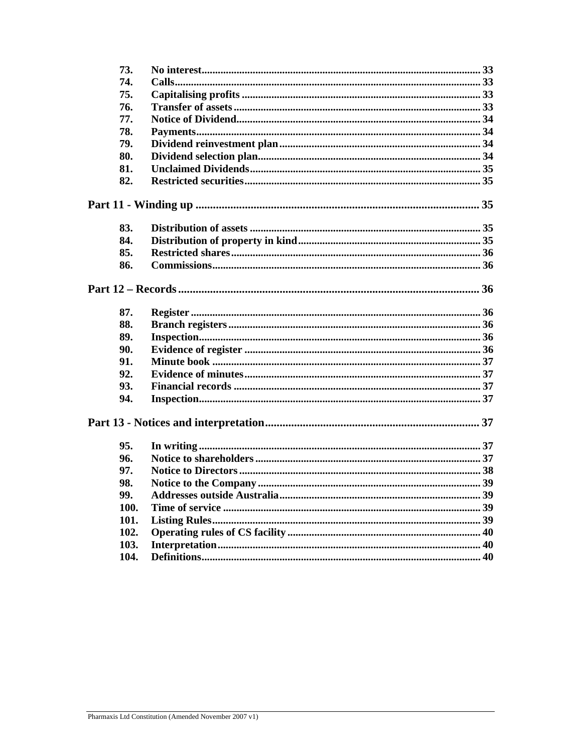| 73.  |  |
|------|--|
| 74.  |  |
| 75.  |  |
| 76.  |  |
| 77.  |  |
| 78.  |  |
| 79.  |  |
| 80.  |  |
| 81.  |  |
| 82.  |  |
|      |  |
| 83.  |  |
| 84.  |  |
| 85.  |  |
| 86.  |  |
|      |  |
| 87.  |  |
| 88.  |  |
| 89.  |  |
| 90.  |  |
| 91.  |  |
| 92.  |  |
| 93.  |  |
| 94.  |  |
|      |  |
| 95.  |  |
| 96.  |  |
| 97.  |  |
| 98.  |  |
| 99.  |  |
| 100. |  |
| 101. |  |
| 102. |  |
| 103. |  |
| 104. |  |